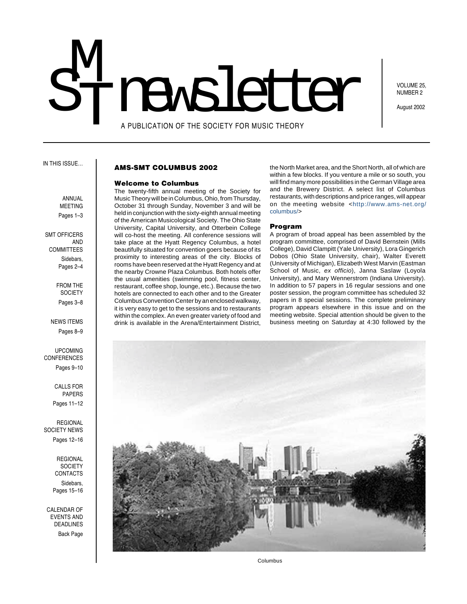# A PUBLICATION OF THE SOCIETY FOR MUSIC THEORY M<br>T STIMER PUBLICATION OF THE SOCIETY FOR MUSIC THEORY

VOLUME 25, NUMBER 2

August 2002

IN THIS ISSUE…

#### **AMS-SMT COLUMBUS 2002**

#### **Welcome to Columbus**

The twenty-fifth annual meeting of the Society for Music Theory will be in Columbus, Ohio, from Thursday, October 31 through Sunday, November 3 and will be held in conjunction with the sixty-eighth annual meeting of the American Musicological Society. The Ohio State University, Capital University, and Otterbein College will co-host the meeting. All conference sessions will take place at the Hyatt Regency Columbus, a hotel beautifully situated for convention goers because of its proximity to interesting areas of the city. Blocks of rooms have been reserved at the Hyatt Regency and at the nearby Crowne Plaza Columbus. Both hotels offer the usual amenities (swimming pool, fitness center, restaurant, coffee shop, lounge, etc.). Because the two hotels are connected to each other and to the Greater Columbus Convention Center by an enclosed walkway, it is very easy to get to the sessions and to restaurants within the complex. An even greater variety of food and drink is available in the Arena/Entertainment District,

the North Market area, and the Short North, all of which are within a few blocks. If you venture a mile or so south, you will find many more possibilities in the German Village area and the Brewery District. A select list of Columbus restaurants, with descriptions and price ranges, will appear on the meeting website <[http://www.ams](http://www.amsnet.org/columbus/)-net.org/ [columbus/>](http://www.amsnet.org/columbus/)

#### **Program**

A program of broad appeal has been assembled by the program committee, comprised of David Bernstein (Mills College), David Clampitt (Yale University), Lora Gingerich Dobos (Ohio State University, chair), Walter Everett (University of Michigan), Elizabeth West Marvin (Eastman School of Music, ex officio), Janna Saslaw (Loyola University), and Mary Wennerstrom (Indiana University). In addition to 57 papers in 16 regular sessions and one poster session, the program committee has scheduled 32 papers in 8 special sessions. The complete preliminary program appears elsewhere in this issue and on the meeting website. Special attention should be given to the business meeting on Saturday at 4:30 followed by the



Columbus

**ANNUAL** MEETING Pages 1-3

 SMT OFFICERS AND **COMMITTEES** Sidebars, Pages 2–4

> FROM THE **SOCIETY** Pages 3–8

NEWS ITEMS Pages 8–9

UPCOMING CONFERENCES Pages 9–10

> CALLS FOR PAPERS Pages 11–12

REGIONAL SOCIETY NEWS

Pages 12–16

REGIONAL **SOCIETY** CONTACTS Sidebars,

Pages 15–16

CALENDAR OF EVENTS AND DEADLINES Back Page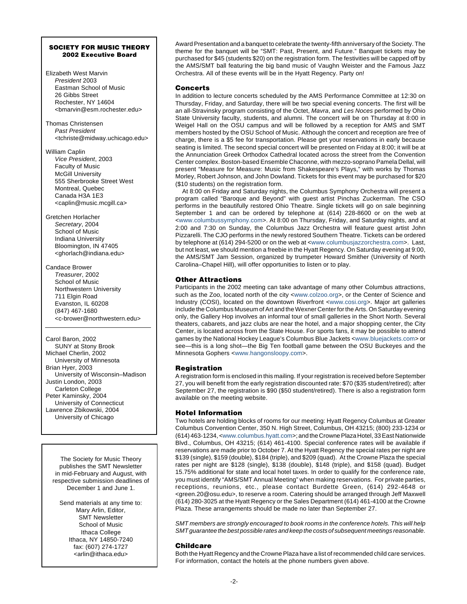#### **SOCIETY FOR MUSIC THEORY 2002 Executive Board**

- Elizabeth West Marvin President 2003 Eastman School of Music 26 Gibbs Street Rochester, NY 14604 <bmarvin@esm.rochester.edu>
- Thomas Christensen Past President <tchriste@midway.uchicago.edu>
- William Caplin Vice President, 2003 Faculty of Music McGill University 555 Sherbrooke Street West Montreal, Quebec Canada H3A 1E3 <caplin@music.mcgill.ca>
- Gretchen Horlacher Secretary, 2004 School of Music Indiana University Bloomington, IN 47405 <ghorlach@indiana.edu>
- Candace Brower Treasurer, 2002 School of Music Northwestern University 711 Elgin Road Evanston, IL 60208 (847) 467-1680 <c-brower@northwestern.edu>

Carol Baron, 2002 SUNY at Stony Brook Michael Cherlin, 2002 University of Minnesota Brian Hyer, 2003 University of Wisconsin–Madison Justin London, 2003 Carleton College Peter Kaminsky, 2004 University of Connecticut Lawrence Zbikowski, 2004 University of Chicago

The Society for Music Theory publishes the SMT Newsletter in mid-February and August, with respective submission deadlines of December 1 and June 1.

Send materials at any time to: Mary Arlin, Editor, SMT Newsletter School of Music Ithaca College Ithaca, NY 14850-7240 fax: (607) 274-1727 <arlin@ithaca.edu>

Award Presentation and a banquet to celebrate the twenty-fifth anniversary of the Society. The theme for the banquet will be "SMT: Past, Present, and Future." Banquet tickets may be purchased for \$45 (students \$20) on the registration form. The festivities will be capped off by the AMS/SMT ball featuring the big band music of Vaughn Weister and the Famous Jazz Orchestra. All of these events will be in the Hyatt Regency. Party on!

#### **Concerts**

In addition to lecture concerts scheduled by the AMS Performance Committee at 12:30 on Thursday, Friday, and Saturday, there will be two special evening concerts. The first will be an all-Stravinsky program consisting of the Octet, Mavra, and Les Noces performed by Ohio State University faculty, students, and alumni. The concert will be on Thursday at 8:00 in Weigel Hall on the OSU campus and will be followed by a reception for AMS and SMT members hosted by the OSU School of Music. Although the concert and reception are free of charge, there is a \$5 fee for transportation. Please get your reservations in early because seating is limited. The second special concert will be presented on Friday at 8:00; it will be at the Annunciation Greek Orthodox Cathedral located across the street from the Convention Center complex. Boston-based Ensemble Chaconne, with mezzo-soprano Pamela Dellal, will present "Measure for Measure: Music from Shakespeare's Plays," with works by Thomas Morley, Robert Johnson, and John Dowland. Tickets for this event may be purchased for \$20 (\$10 students) on the registration form.

At 8:00 on Friday and Saturday nights, the Columbus Symphony Orchestra will present a program called "Baroque and Beyond" with guest artist Pinchas Zuckerman. The CSO performs in the beautifully restored Ohio Theatre. Single tickets will go on sale beginning September 1 and can be ordered by telephone at (614) 228-8600 or on the web at <[www.columbussymphony.com>](http://www.columbussymphony.com). At 8:00 on Thursday, Friday, and Saturday nights, and at 2:00 and 7:30 on Sunday, the Columbus Jazz Orchestra will feature guest artist John Pizzarelli. The CJO performs in the newly restored Southern Theatre. Tickets can be ordered by telephone at (614) 294-5200 or on the web at <[www.columbusjazzorchestra.com>](http://www.columbusjazzorchestra.com). Last, but not least, we should mention a freebie in the Hyatt Regency. On Saturday evening at 9:00, the AMS/SMT Jam Session, organized by trumpeter Howard Smither (University of North Carolina–Chapel Hill), will offer opportunities to listen or to play.

#### **Other Attractions**

Participants in the 2002 meeting can take advantage of many other Columbus attractions, such as the Zoo, located north of the city <[www.colzoo.org>](http://www.colzoo.org), or the Center of Science and Industry (COSI), located on the downtown Riverfront [<www.cosi.org>](http://www.cosi.org). Major art galleries include the Columbus Museum of Art and the Wexner Center for the Arts. On Saturday evening only, the Gallery Hop involves an informal tour of small galleries in the Short North. Several theaters, cabarets, and jazz clubs are near the hotel, and a major shopping center, the City Center, is located across from the State House. For sports fans, it may be possible to attend games by the National Hockey League's Columbus Blue Jackets <[www.bluejackets.com>](http://www.bluejackets.com) or see—this is a long shot—the Big Ten football game between the OSU Buckeyes and the Minnesota Gophers [<www.hangonsloopy.com>](http://www.hangonsloopy.com).

#### **Registration**

A registration form is enclosed in this mailing. If your registration is received before September 27, you will benefit from the early registration discounted rate: \$70 (\$35 student/retired); after September 27, the registration is \$90 (\$50 student/retired). There is also a registration form available on the meeting website.

#### **Hotel Information**

Two hotels are holding blocks of rooms for our meeting: Hyatt Regency Columbus at Greater Columbus Convention Center, 350 N. High Street, Columbus, OH 43215; (800) 233-1234 or (614) 463-1234, [<www.columbus.hyatt.com>](http://www.columbus.hyatt.com); and the CrownePlaza Hotel, 33East Nationwide Blvd., Columbus, OH 43215; (614) 461-4100. Special conference rates will be available if reservations are made prior to October 7. At the Hyatt Regency the special rates per night are \$139 (single), \$159 (double), \$184 (triple), and \$209 (quad). At the Crowne Plaza the special rates per night are \$128 (single), \$138 (double), \$148 (triple), and \$158 (quad). Budget 15.75% additional for state and local hotel taxes. In order to qualify for the conference rate, you must identify "AMS/SMT Annual Meeting" when making reservations. For private parties, receptions, reunions, etc., please contact Burdette Green, (614) 292-4648 or <green.20@osu.edu>, to reserve a room. Catering should be arranged through Jeff Maxwell (614) 280-3025 at the Hyatt Regency or the Sales Department (614) 461-4100 at the Crowne Plaza. These arrangements should be made no later than September 27.

SMT members are strongly encouraged to book rooms in the conference hotels. This will help SMT guarantee the best possible rates and keep the costs of subsequent meetings reasonable.

#### **Childcare**

Both the Hyatt Regency and the Crowne Plaza have a list of recommended child care services. For information, contact the hotels at the phone numbers given above.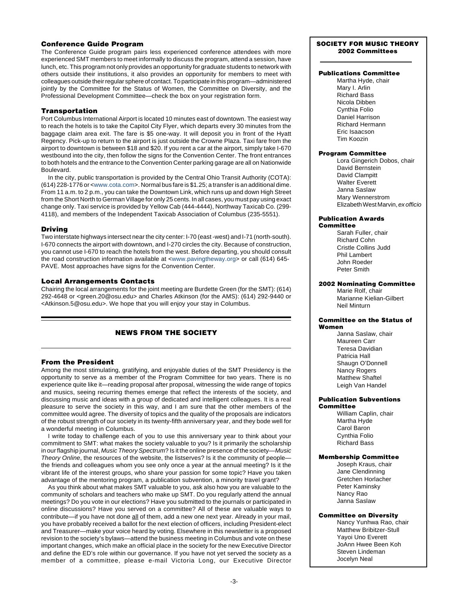#### **Conference Guide Program**

The Conference Guide program pairs less experienced conference attendees with more experienced SMT members to meet informally to discuss the program, attend a session, have lunch, etc. This program not only provides an opportunity for graduate students to network with others outside their institutions, it also provides an opportunity for members to meet with colleagues outside theirregular sphere of contact.To participate in this program—administered jointly by the Committee for the Status of Women, the Committee on Diversity, and the Professional Development Committee—check the box on your registration form.

#### **Transportation**

Port Columbus International Airport is located 10 minutes east of downtown. The easiest way to reach the hotels is to take the Capitol City Flyer, which departs every 30 minutes from the baggage claim area exit. The fare is \$5 one-way. It will deposit you in front of the Hyatt Regency. Pick-up to return to the airport is just outside the Crowne Plaza. Taxi fare from the airport to downtown is between \$18 and \$20. If you rent a car at the airport, simply take I-670 westbound into the city, then follow the signs for the Convention Center. The front entrances to both hotels and the entrance to the Convention Center parking garage are all on Nationwide Boulevard.

In the city, public transportation is provided by the Central Ohio Transit Authority (COTA): (614) 228-1776 or [<www.cota.com>](http://www.cota.com). Normal bus fare is \$1.25; a transfer is an additional dime. From 11 a.m. to 2 p.m., you can take the Downtown Link, which runs up and down High Street from the Short North to German Village for only 25 cents. In all cases, you must pay using exact change only. Taxi service is provided by Yellow Cab (444-4444), Northway Taxicab Co. (299- 4118), and members of the Independent Taxicab Association of Columbus (235-5551).

#### **Driving**

Two interstate highways intersect near the city center: I-70 (east -west) and I-71 (north-south). I-670 connects the airport with downtown, and I-270 circles the city. Because of construction, you cannot use I-670 to reach the hotels from the west. Before departing, you should consult the road construction information available at [<www.pavingtheway.org>](http://www.pavingtheway.org) or call (614) 645-PAVE. Most approaches have signs for the Convention Center.

#### **Local Arrangements Contacts**

Chairing the local arrangements for the joint meeting are Burdette Green (for the SMT): (614) 292-4648 or <green.20@osu.edu> and Charles Atkinson (for the AMS): (614) 292-9440 or <Atkinson.5@osu.edu>. We hope that you will enjoy your stay in Columbus.

## **NEWS FROM THE SOCIETY**

#### **From the President**

Among the most stimulating, gratifying, and enjoyable duties of the SMT Presidency is the opportunity to serve as a member of the Program Committee for two years. There is no experience quite like it—reading proposal after proposal, witnessing the wide range of topics and musics, seeing recurring themes emerge that reflect the interests of the society, and discussing music and ideas with a group of dedicated and intelligent colleagues. It is a real pleasure to serve the society in this way, and I am sure that the other members of the committee would agree. The diversity of topics and the quality of the proposals are indicators of the robust strength of our society in its twenty-fifth anniversary year, and they bode well for a wonderful meeting in Columbus.

I write today to challenge each of you to use this anniversary year to think about your commitment to SMT: what makes the society valuable to you? Is it primarily the scholarship in our flagship journal, Music Theory Spectrum? Is it the online presence of the society—Music Theory Online, the resources of the website, the listserves? Is it the community of people the friends and colleagues whom you see only once a year at the annual meeting? Is it the vibrant life of the interest groups, who share your passion for some topic? Have you taken advantage of the mentoring program, a publication subvention, a minority travel grant?

As you think about what makes SMT valuable to you, ask also how you are valuable to the community of scholars and teachers who make up SMT. Do you regularly attend the annual meetings? Do you vote in our elections? Have you submitted to the journals or participated in online discussions? Have you served on a committee? All of these are valuable ways to contribute—if you have not done all of them, add a new one next year. Already in your mail, you have probably received a ballot for the next election of officers, including President-elect and Treasurer—make your voice heard by voting. Elsewhere in this newsletter is a proposed revision to the society's bylaws—attend the business meeting in Columbus and vote on these important changes, which make an official place in the society for the new Executive Director and define the ED's role within our governance. If you have not yet served the society as a member of a committee, please e-mail Victoria Long, our Executive Director

#### **SOCIETY FOR MUSIC THEORY 2002 Committees**

## **Publications Committee**

Martha Hyde, chair Mary I. Arlin Richard Bass Nicola Dibben Cynthia Folio Daniel Harrison Richard Hermann Eric Isaacson Tim Koozin

#### **Program Committee**

Lora Gingerich Dobos, chair David Bernstein David Clampitt Walter Everett Janna Saslaw Mary Wennerstrom Elizabeth West Marvin, ex officio

#### **Publication Awards Committee**

Sarah Fuller, chair Richard Cohn Cristle Collins Judd Phil Lambert John Roeder Peter Smith

#### **2002 Nominating Committee**

Marie Rolf, chair Marianne Kielian-Gilbert Neil Minturn

#### **Committee on the Status of Women**

Janna Saslaw, chair Maureen Carr Teresa Davidian Patricia Hall Shaugn O'Donnell Nancy Rogers Matthew Shaftel Leigh Van Handel

#### **Publication Subventions Committee**

William Caplin, chair Martha Hyde Carol Baron Cynthia Folio Richard Bass

#### **Membership Committee**

Joseph Kraus, chair Jane Clendinning Gretchen Horlacher Peter Kaminsky Nancy Rao Janna Saslaw

#### **Committee on Diversity**

Nancy Yunhwa Rao, chair Matthew Bribitzer-Stull Yayoi Uno Everett JoAnn Hwee Been Koh Steven Lindeman Jocelyn Neal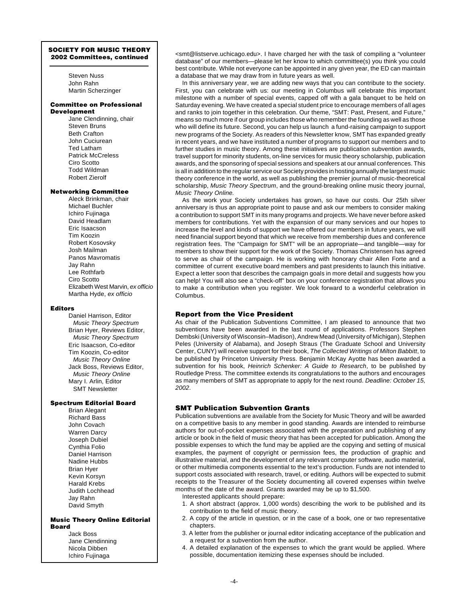## **SOCIETY FOR MUSIC THEORY**

Steven Nuss John Rahn Martin Scherzinger

#### **Committee on Professional Development**

Jane Clendinning, chair Steven Bruns Beth Crafton John Cuciurean Ted Latham Patrick McCreless Ciro Scotto Todd Wildman Robert Zierolf

#### **Networking Committee**

Aleck Brinkman, chair Michael Buchler Ichiro Fujinaga David Headlam Eric Isaacson Tim Koozin Robert Kosovsky Josh Mailman Panos Mavromatis Jay Rahn Lee Rothfarb Ciro Scotto Elizabeth West Marvin, ex officio Martha Hyde, ex officio

#### **Editors**

Daniel Harrison, Editor Music Theory Spectrum Brian Hyer, Reviews Editor, Music Theory Spectrum Eric Isaacson, Co-editor Tim Koozin, Co-editor Music Theory Online Jack Boss, Reviews Editor, Music Theory Online Mary I. Arlin, Editor SMT Newsletter

### **Spectrum Editorial Board**

Brian Alegant Richard Bass John Covach Warren Darcy Joseph Dubiel Cynthia Folio Daniel Harrison Nadine Hubbs Brian Hyer Kevin Korsyn Harald Krebs Judith Lochhead Jay Rahn David Smyth

#### **Music Theory Online Editorial Board**

Jack Boss Jane Clendinning Nicola Dibben Ichiro Fujinaga

**2002 Committees, continued examines and all the task of compiling a "volunteer"**  $\left\{ \text{2002 } \text{Committers, continued} \right\}$ database" of our members—please let her know to which committee(s) you think you could best contribute. While not everyone can be appointed in any given year, the ED can maintain a database that we may draw from in future years as well.

In this anniversary year, we are adding new ways that you can contribute to the society. First, you can celebrate with us: our meeting in Columbus will celebrate this important milestone with a number of special events, capped off with a gala banquet to be held on Saturday evening. We have created a special student price to encourage members of all ages and ranks to join together in this celebration. Our theme, "SMT: Past, Present, and Future," means so much more if our group includes those who remember the founding as well as those who will define its future. Second, you can help us launch a fund-raising campaign to support new programs of the Society. As readers of this Newsletter know, SMT has expanded greatly in recent years, and we have instituted a number of programs to support our members and to further studies in music theory. Among these initiatives are publication subvention awards, travel support for minority students, on-line services for music theory scholarship, publication awards, and the sponsoring of special sessions and speakers at our annual conferences. This is all in addition to the regular service our Society provides in hosting annually the largest music theory conference in the world, as well as publishing the premier journal of music-theoretical scholarship, Music Theory Spectrum, and the ground-breaking online music theory journal, Music Theory Online.

As the work your Society undertakes has grown, so have our costs. Our 25th silver anniversary is thus an appropriate point to pause and ask our members to consider making a contribution to support SMT in its many programs and projects. We have never before asked members for contributions. Yet with the expansion of our many services and our hopes to increase the level and kinds of support we have offered our members in future years, we will need financial support beyond that which we receive from membership dues and conference registration fees. The "Campaign for SMT" will be an appropriate—and tangible—way for members to show their support for the work of the Society. Thomas Christensen has agreed to serve as chair of the campaign. He is working with honorary chair Allen Forte and a committee of current executive board members and past presidents to launch this initiative. Expect a letter soon that describes the campaign goals in more detail and suggests how you can help! You will also see a "check-off" box on your conference registration that allows you to make a contribution when you register. We look forward to a wonderful celebration in Columbus.

#### **Report from the Vice President**

As chair of the Publication Subventions Committee, I am pleased to announce that two subventions have been awarded in the last round of applications. Professors Stephen Dembski (University of Wisconsin–Madison), Andrew Mead (University of Michigan), Stephen Peles (University of Alabama), and Joseph Straus (The Graduate School and University Center, CUNY) will receive support for their book, The Collected Writings of Milton Babbitt, to be published by Princeton University Press. Benjamin McKay Ayotte has been awarded a subvention for his book, Heinrich Schenker: A Guide to Research, to be published by Routledge Press. The committee extends its congratulations to the authors and encourages as many members of SMT as appropriate to apply for the next round. Deadline: October 15, 2002.

#### **SMT Publication Subvention Grants**

Publication subventions are available from the Society for Music Theory and will be awarded on a competitive basis to any member in good standing. Awards are intended to reimburse authors for out-of-pocket expenses associated with the preparation and publishing of any article or book in the field of music theory that has been accepted for publication. Among the possible expenses to which the fund may be applied are the copying and setting of musical examples, the payment of copyright or permission fees, the production of graphic and illustrative material, and the development of any relevant computer software, audio material, or other multimedia components essential to the text's production. Funds are not intended to support costs associated with research, travel, or editing. Authors will be expected to submit receipts to the Treasurer of the Society documenting all covered expenses within twelve months of the date of the award. Grants awarded may be up to \$1,500.

- Interested applicants should prepare:
- 1. A short abstract (approx. 1,000 words) describing the work to be published and its contribution to the field of music theory.
- 2. A copy of the article in question, or in the case of a book, one or two representative chapters.
- 3. A letter from the publisher or journal editor indicating acceptance of the publication and a request for a subvention from the author.
- 4. A detailed explanation of the expenses to which the grant would be applied. Where possible, documentation itemizing these expenses should be included.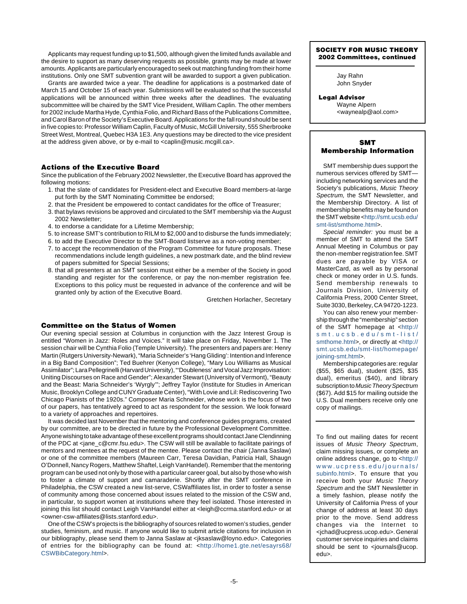Applicants may request funding up to \$1,500, although given the limited funds available and the desire to support as many deserving requests as possible, grants may be made at lower amounts.Applicants are particularly encouraged to seek out matching funding from their home institutions. Only one SMT subvention grant will be awarded to support a given publication.

Grants are awarded twice a year. The deadline for applications is a postmarked date of March 15 and October 15 of each year. Submissions will be evaluated so that the successful applications will be announced within three weeks after the deadlines. The evaluating subcommittee will be chaired by the SMT Vice President, William Caplin. The other members for 2002 include Martha Hyde, Cynthia Folio, and Richard Bass of the Publications Committee, and Carol Baron of the Society's Executive Board. Applications for the fall round should be sent in five copies to: Professor William Caplin, Faculty of Music, McGill University, 555 Sherbrooke Street West, Montreal, Quebec H3A 1E3. Any questions may be directed to the vice president at the address given above, or by e-mail to <caplin@music.mcgill.ca>.

#### **Actions of the Executive Board**

Since the publication of the February 2002 Newsletter, the Executive Board has approved the following motions:

- 1. that the slate of candidates for President-elect and Executive Board members-at-large put forth by the SMT Nominating Committee be endorsed;
- 2. that the President be empowered to contact candidates for the office of Treasurer;
- 3. that bylaws revisions be approved and circulated to the SMT membership via the August 2002 Newsletter;
- 4. to endorse a candidate for a Lifetime Membership;
- 5. to increase SMT's contribution to RILM to \$2,000 and to disburse the funds immediately;
- 6. to add the Executive Director to the SMT-Board listserve as a non-voting member;
- 7. to accept the recommendation of the Program Committee for future proposals. These recommendations include length guidelines, a new postmark date, and the blind review of papers submitted for Special Sessions;
- 8. that all presenters at an SMT session must either be a member of the Society in good standing and register for the conference, or pay the non-member registration fee. Exceptions to this policy must be requested in advance of the conference and will be granted only by action of the Executive Board.

Gretchen Horlacher, Secretary

#### **Committee on the Status of Women**

Our evening special session at Columbus in conjunction with the Jazz Interest Group is entitled "Women in Jazz: Roles and Voices." It will take place on Friday, November 1. The session chair will be Cynthia Folio (Temple University). The presenters and papers are: Henry Martin (Rutgers University-Newark),"MariaSchneider's 'HangGliding': Intention and Inference in a Big Band Composition"; Ted Buehrer (Kenyon College), "Mary Lou Williams as Musical Assimilator"; Lara Pellegrinelli (Harvard University), "'Doubleness' and Vocal Jazz Improvisation: Uniting Discourses on Race and Gender"; Alexander Stewart (University of Vermont), "Beauty and the Beast: Maria Schneider's 'Wyrgly'"; Jeffrey Taylor (Institute for Studies in American Music, Brooklyn College and CUNY Graduate Center), "With Lovie and Lil: Rediscovering Two Chicago Pianists of the 1920s." Composer Maria Schneider, whose work is the focus of two of our papers, has tentatively agreed to act as respondent for the session. We look forward to a variety of approaches and repertoires.

It was decided last November that the mentoring and conference guides programs, created by our committee, are to be directed in future by the Professional Development Committee. Anyone wishing to take advantage of these excellent programs should contact Jane Clendinning of the PDC at <jane\_c@cmr.fsu.edu>. The CSW will still be available to facilitate pairings of mentors and mentees at the request of the mentee. Please contact the chair (Janna Saslaw) or one of the committee members (Maureen Carr, Teresa Davidian, Patricia Hall, Shaugn O'Donnell, Nancy Rogers, Matthew Shaftel, Leigh VanHandel). Remember that the mentoring program can be used not only by those with a particular career goal, but also by those who wish to foster a climate of support and camaraderie. Shortly after the SMT conference in Philadelphia, the CSW created a new list-serve, CSWaffiliates list, in order to foster a sense of community among those concerned about issues related to the mission of the CSW and, in particular, to support women at institutions where they feel isolated. Those interested in joining this list should contact Leigh VanHandel either at <leigh@ccrma.stanford.edu> or at <owner-csw-affiliates@lists.stanford.edu>.

One of the CSW's projects is the bibliography of sources related to women's studies, gender studies, feminism, and music. If anyone would like to submit article citations for inclusion in our bibliography, please send them to Janna Saslaw at <jksaslaw@loyno.edu>. Categories of entries for the bibliography can be found at: [<http://home1.gte.net/esayrs68/](http://home1.gte.net/esayrs68/CSWBibCategory.html) [CSWBibCategory.html](http://home1.gte.net/esayrs68/CSWBibCategory.html)>.

#### **SOCIETY FOR MUSIC THEORY 2002 Committees, continued**

Jay Rahn John Snyder

**Legal Advisor** Wayne Alpern <waynealp@aol.com>

#### **SMT Membership Information**

SMT membership dues support the numerous services offered by SMT including networking services and the Society's publications, Music Theory Spectrum, the SMT Newsletter, and the Membership Directory. A list of membership benefits may be found on the SMT website [<http://smt.ucsb.edu/](http://smt.ucsb.edu/smt-list/smthome.html) [smt-list/smthome.html>](http://smt.ucsb.edu/smt-list/smthome.html).

Special reminder: you must be a member of SMT to attend the SMT Annual Meeting in Columbus or pay the non-memberregistration fee.SMT dues are payable by VISA or MasterCard, as well as by personal check or money order in U.S. funds. Send membership renewals to Journals Division, University of California Press, 2000 Center Street, Suite 3030, Berkeley, CA 94720-1223.

You can also renew your membership through the "membership" section of the SMT homepage at [<http://](http://smt.ucsb.edu/smt-list/smthome.html) [smt.ucsb.edu/smt-list/](http://smt.ucsb.edu/smt-list/smthome.html) [smthome.html>](http://smt.ucsb.edu/smt-list/smthome.html), or directly at <http:// [smt.ucsb.edu/smt-list/homepage/](http://smt.ucsb.edu/smt-list/homepage/joining-smt.html) [joining-smt.html>](http://smt.ucsb.edu/smt-list/homepage/joining-smt.html).

Membership categories are: regular (\$55, \$65 dual), student (\$25, \$35 dual), emeritus (\$40), and library subscription to Music Theory Spectrum (\$67). Add \$15 for mailing outside the U.S. Dual members receive only one copy of mailings.

To find out mailing dates for recent issues of Music Theory Spectrum, claim missing issues, or complete an online address change, go to [<http://](http://www.ucpress.edu/journals/subinfo.html) [www.ucpress.edu/journals/](http://www.ucpress.edu/journals/subinfo.html) [subinfo.html>](http://www.ucpress.edu/journals/subinfo.html). To ensure that you receive both your Music Theory Spectrum and the SMT Newsletter in a timely fashion, please notify the University of California Press of your change of address at least 30 days prior to the move. Send address changes via the Internet to <jchad@ucpress.ucop.edu>.General customer service inquiries and claims should be sent to <journals@ucop. edu>.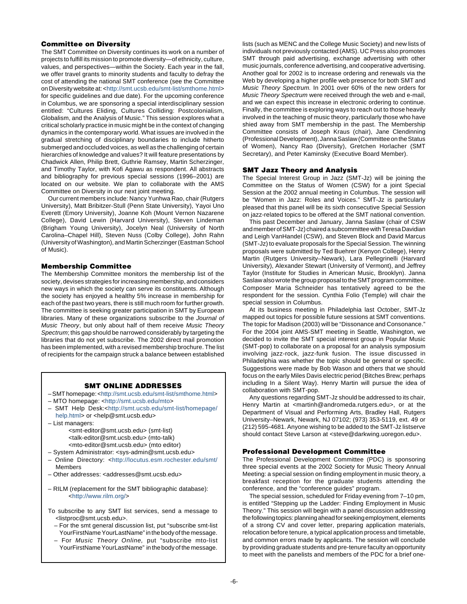#### **Committee on Diversity**

The SMT Committee on Diversity continues its work on a number of projects to fulfill its mission to promote diversity—of ethnicity, culture, values, and perspectives—within the Society. Each year in the fall, we offer travel grants to minority students and faculty to defray the cost of attending the national SMT conference (see the Committee on Diversity website at: <[http://smt.ucsb.edu/smt-list/smthome.html>](http://smt.ucsb.edu/smt-list/smthome.html) for specific guidelines and due date). For the upcoming conference in Columbus, we are sponsoring a special interdisciplinary session entitled: "Cultures Eliding, Cultures Colliding: Postcolonialism, Globalism, and the Analysis of Music." This session explores what a critical scholarly practice in music might be in the context of changing dynamics in the contemporary world. What issues are involved in the gradual stretching of disciplinary boundaries to include hitherto submerged and occluded voices, as well as the challenging of certain hierarchies of knowledge and values? It will feature presentations by Chadwick Allen, Philip Brett, Guthrie Ramsey, Martin Scherzinger, and Timothy Taylor, with Kofi Agawu as respondent. All abstracts and bibliography for previous special sessions (1996–2001) are located on our website. We plan to collaborate with the AMS Committee on Diversity in our next joint meeting.

Our current members include: Nancy Yunhwa Rao, chair (Rutgers University), Matt Bribitzer-Stull (Penn State University), Yayoi Uno Everett (Emory University), Joanne Koh (Mount Vernon Nazarene College), David Lewin (Harvard University), Steven Lindeman (Brigham Young University), Jocelyn Neal (University of North Carolina–Chapel Hill), Steven Nuss (Colby College), John Rahn (University of Washington), and Martin Scherzinger (Eastman School of Music).

#### **Membership Committee**

The Membership Committee monitors the membership list of the society, devises strategies for increasing membership, and considers new ways in which the society can serve its constituents. Although the society has enjoyed a healthy 5% increase in membership for each of the past two years, there is still much room for further growth. The committee is seeking greater participation in SMT by European libraries. Many of these organizations subscribe to the Journal of Music Theory, but only about half of them receive Music Theory Spectrum; this gap should be narrowed considerably by targeting the libraries that do not yet subscribe. The 2002 direct mail promotion has been implemented, with a revised membership brochure. The list of recipients for the campaign struck a balance between established

#### **SMT ONLINE ADDRESSES**

- –SMThomepage:<[http://smt.ucsb.edu/smt-list/smthome.html>](http://smt.ucsb.edu/smt-list/smthome.html)
- MTO homepage: <[http://smt.ucsb.edu/mto>](http://smt.ucsb.edu/mto)
- SMT Help Desk:[<http://smt.ucsb.edu/smt-list/homepage/](http://smt.ucsb.edu/smt-list/homepage/help.html) [help.html>](http://smt.ucsb.edu/smt-list/homepage/help.html) or <help@smt.ucsb.edu> – List managers:
	- <smt-editor@smt.ucsb.edu> (smt-list) <talk-editor@smt.ucsb.edu> (mto-talk) <mto-editor@smt.ucsb.edu> (mto editor)
- System Administrator: <sys-admin@smt.ucsb.edu>
- Online Directory: <<http://locutus.esm.rochester.edu/smt/> Members
- Other addresses: <addresses@smt.ucsb.edu>
- RILM (replacement for the SMT bibliographic database): <[http://www.rilm.org/>](http://www.rilm.org/)
- To subscribe to any SMT list services, send a message to <listproc@smt.ucsb.edu>.
	- For the smt general discussion list, put "subscribe smt-list YourFirstNameYourLastName"in the body of the message.
	- For Music Theory Online, put "subscribe mto-list YourFirstName YourLastName" in the body of the message.

lists (such as MENC and the College Music Society) and new lists of individuals not previously contacted (AMS). UC Press also promotes SMT through paid advertising, exchange advertising with other music journals, conference advertising, and cooperative advertising. Another goal for 2002 is to increase ordering and renewals via the Web by developing a higher profile web presence for both SMT and Music Theory Spectrum. In 2001 over 60% of the new orders for Music Theory Spectrum were received through the web and e-mail, and we can expect this increase in electronic ordering to continue. Finally, the committee is exploring ways to reach out to those heavily involved in the teaching of music theory, particularly those who have shied away from SMT membership in the past. The Membership Committee consists of Joseph Kraus (chair), Jane Clendinning (Professional Development), Janna Saslaw (Committee on the Status of Women), Nancy Rao (Diversity), Gretchen Horlacher (SMT Secretary), and Peter Kaminsky (Executive Board Member).

#### **SMT Jazz Theory and Analysis**

The Special Interest Group in Jazz (SMT-Jz) will be joining the Committee on the Status of Women (CSW) for a joint Special Session at the 2002 annual meeting in Columbus. The session will be "Women in Jazz: Roles and Voices." SMT-Jz is particularly pleased that this panel will be its sixth consecutive Special Session on jazz-related topics to be offered at the SMT national convention.

This past December and January, Janna Saslaw (chair of CSW and member of SMT-Jz) chaired a subcommittee with Teresa Davidian and Leigh VanHandel (CSW), and Steven Block and David Marcus (SMT-Jz) to evaluate proposals for the Special Session. The winning proposals were submitted by Ted Buehrer (Kenyon College), Henry Martin (Rutgers University–Newark), Lara Pellegrinelli (Harvard University), Alexander Stewart (University of Vermont), and Jeffrey Taylor (Institute for Studies in American Music, Brooklyn). Janna Saslaw also wrote the group proposal to the SMT program committee. Composer Maria Schneider has tentatively agreed to be the respondent for the session. Cynthia Folio (Temple) will chair the special session in Columbus.

At its business meeting in Philadelphia last October, SMT-Jz mapped out topics for possible future sessions at SMT conventions. The topic for Madison (2003) will be "Dissonance and Consonance." For the 2004 joint AMS-SMT meeting in Seattle, Washington, we decided to invite the SMT special interest group in Popular Music (SMT-pop) to collaborate on a proposal for an analysis symposium involving jazz-rock, jazz-funk fusion. The issue discussed in Philadelphia was whether the topic should be general or specific. Suggestions were made by Bob Wason and others that we should focus on the early Miles Davis electric period (Bitches Brew; perhaps including In a Silent Way). Henry Martin will pursue the idea of collaboration with SMT-pop.

Any questions regarding SMT-Jz should be addressed to its chair, Henry Martin at <martinh@andromeda.rutgers.edu>, or at the Department of Visual and Performing Arts, Bradley Hall, Rutgers University–Newark, Newark, NJ 07102; (973) 353-5119, ext. 49 or (212) 595-4681. Anyone wishing to be added to the SMT-Jz listserve should contact Steve Larson at <steve@darkwing.uoregon.edu>.

#### **Professional Development Committee**

The Professional Development Committee (PDC) is sponsoring three special events at the 2002 Society for Music Theory Annual Meeting: a special session on finding employment in music theory, a breakfast reception for the graduate students attending the conference, and the "conference guides" program.

The special session, scheduled for Friday evening from 7–10 pm, is entitled "Stepping up the Ladder: Finding Employment in Music Theory." This session will begin with a panel discussion addressing the following topics: planning ahead for seeking employment, elements of a strong CV and cover letter, preparing application materials, relocation before tenure, a typical application process and timetable, and common errors made by applicants. The session will conclude by providing graduate students and pre-tenure faculty an opportunity to meet with the panelists and members of the PDC for a brief one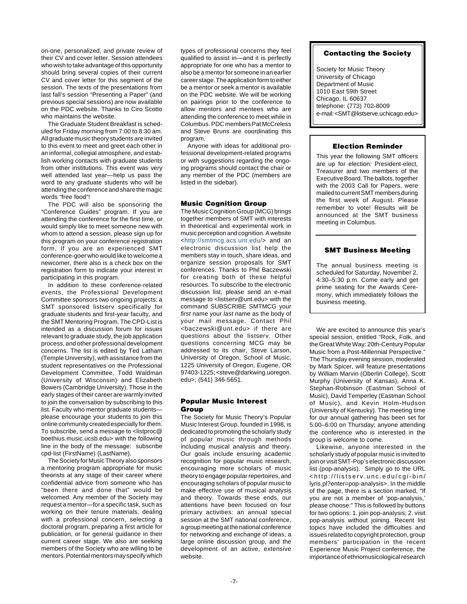on-one, personalized, and private review of their CV and cover letter. Session attendees who wish to take advantage of this opportunity should bring several copies of their current CV and cover letter for this segment of the session. The texts of the presentations from last fall's session "Presenting a Paper" (and previous special sessions) are now available on the PDC website. Thanks to Ciro Scotto who maintains the website.

The Graduate Student Breakfast is scheduled for Friday morning from 7:00 to 8:30 am. All graduate music theory students are invited to this event to meet and greet each other in an informal, collegial atmosphere, and establish working contacts with graduate students from other institutions. This event was very well attended last year—help us pass the word to any graduate students who will be attending the conference and share the magic words "free food"!

The PDC will also be sponsoring the "Conference Guides" program. If you are attending the conference for the first time, or would simply like to meet someone new with whom to attend a session, please sign up for this program on your conference registration form. If you are an experienced SMT conference-goer who would like to welcome a newcomer, there also is a check box on the registration form to indicate your interest in participating in this program.

In addition to these conference-related events, the Professional Development Committee sponsors two ongoing projects: a SMT sponsored listserv specifically for graduate students and first-year faculty, and the SMT Mentoring Program. The CPD-List is intended as a discussion forum for issues relevant to graduate study, the job application process, and other professional development concerns. The list is edited by Ted Latham (Temple University), with assistance from the student representatives on the Professional Development Committee, Todd Waldman (University of Wisconsin) and Elizabeth Bowers (Cambridge University). Those in the early stages of their career are warmly invited to join the conversation by subscribing to this list. Faculty who mentor graduate students please encourage your students to join this online community created especially for them. To subscribe, send a message to <listproc@ boethius.music.ucsb.edu> with the following line in the body of the message: subscribe cpd-list (FirstName) (LastName).

The Society for Music Theory also sponsors a mentoring program appropriate for music theorists at any stage of their career where confidential advice from someone who has "been there and done that" would be welcomed. Any member of the Society may request a mentor—for a specific task, such as working on their tenure materials, dealing with a professional concern, selecting a doctoral program, preparing a first article for publication, or for general guidance in their current career stage. We also are seeking members of the Society who are willing to be mentors. Potential mentors may specify which types of professional concerns they feel qualified to assist in—and it is perfectly appropriate for one who has a mentor to also be a mentor for someone in an earlier career stage. The application form to either be a mentor or seek a mentor is available on the PDC website. We will be working on pairings prior to the conference to allow mentors and mentees who are attending the conference to meet while in Columbus. PDC members Pat McCreless and Steve Bruns are coordinating this program.

Anyone with ideas for additional professional development-related programs or with suggestions regarding the ongoing programs should contact the chair or any member of the PDC (members are listed in the sidebar).

#### **Music Cognition Group**

The Music Cognition Group (MCG) brings together members of SMT with interests in theoretical and experimental work in music perception and cognition.A website <[http://smtmcg.acs.unt.edu/>](http://smtmcg.acs.unt.edu/) and an electronic discussion list help the members stay in touch, share ideas, and organize session proposals for SMT conferences. Thanks to Phil Baczewski for creating both of these helpful resources. To subscribe to the electronic discussion list, please send an e-mail message to <listserv@unt.edu> with the command SUBSCRIBE SMTMCG your first name your last name as the body of your mail message. Contact Phil <baczewski@unt.edu> if there are questions about the listserv. Other questions concerning MCG may be addressed to its chair, Steve Larson, University of Oregon, School of Music, 1225 University of Oregon, Eugene, OR 97403-1225; <steve@darkwing.uoregon. edu>; (541) 346-5651.

#### **Popular Music Interest Group**

The Society for Music Theory's Popular Music Interest Group, founded in 1998, is dedicated to promoting the scholarly study of popular music through methods including musical analysis and theory. Our goals include ensuring academic recognition for popular music research, encouraging more scholars of music theory to engage popular repertoires, and encouraging scholars of popular music to make effective use of musical analysis and theory. Towards these ends, our attentions have been focused on four primary activities: an annual special session at the SMT national conference, a group meeting at the national conference for networking and exchange of ideas, a large online discussion group, and the development of an active, extensive website.

#### **Contacting the Society**

Society for Music Theory University of Chicago Department of Music 1010 East 59th Street Chicago, IL 60637 telephone: (773) 702-8009 e-mail: <SMT@listserve.uchicago.edu>

#### **Election Reminder**

This year the following SMT officers are up for election: President-elect, Treasurer and two members of the Executive Board. The ballots, together with the 2003 Call for Papers, were mailed to current SMT members during the first week of August. Please remember to vote! Results will be announced at the SMT business meeting in Columbus.

#### **SMT Business Meeting**

The annual business meeting is scheduled for Saturday, November 2, 4:30–5:30 p.m. Come early and get prime seating for the Awards Ceremony, which immediately follows the business meeting.

We are excited to announce this year's special session, entitled "Rock, Folk, and the Great White Way: 20th-Century Popular Music from a Post-Millennial Perspective." The Thursday evening session, moderated by Mark Spicer, will feature presentations by William Marvin (Oberlin College), Scott Murphy (University of Kansas), Anna K. Stephan-Robinson (Eastman School of Music), David Temperley (Eastman School of Music), and Kevin Holm-Hudson (University of Kentucky). The meeting time for our annual gathering has been set for 5:00–6:00 on Thursday; anyone attending the conference who is interested in the group is welcome to come.

Likewise, anyone interested in the scholarly study of popular music is invited to join or visit SMT-Pop's electronic discussion list (pop-analysis). Simply go to the URL <http://listserv.unc.edu/cgi-bin/ lyris.pl?enter=pop-analysis>. In the middle of the page, there is a section marked, "If you are not a member of 'pop-analysis,' please choose:" This is followed by buttons for two options: 1. join pop-analysis; 2. visit pop-analysis without joining. Recent list topics have included the difficulties and issues related to copyright protection, group members' participation in the recent Experience Music Project conference, the importance of ethnomusicological research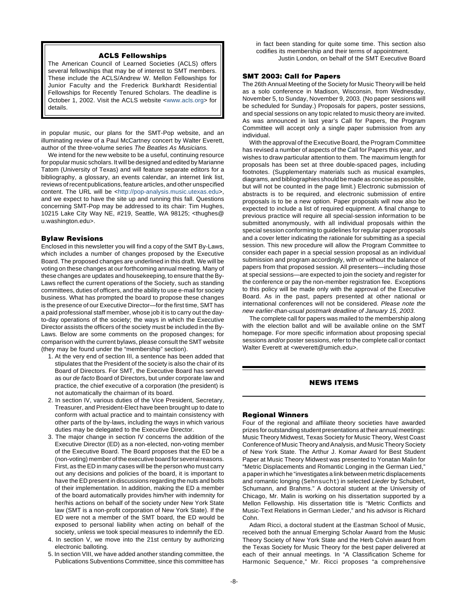#### **ACLS Fellowships**

The American Council of Learned Societies (ACLS) offers several fellowships that may be of interest to SMT members. These include the ACLS/Andrew W. Mellon Fellowships for Junior Faculty and the Frederick Burkhardt Residential Fellowships for Recently Tenured Scholars. The deadline is October 1, 2002. Visit the ACLS website [<www.acls.org>](http://www.acls.org) for details.

in popular music, our plans for the SMT-Pop website, and an illuminating review of a Paul McCartney concert by Walter Everett, author of the three-volume series The Beatles As Musicians.

We intend for the new website to be a useful, continuing resource for popular music scholars. It will be designed and edited by Marianne Tatom (University of Texas) and will feature separate editors for a bibliography, a glossary, an events calendar, an internet link list, reviews of recent publications, feature articles, and other unspecified content. The URL will be [<http://pop-analysis.music.utexas.edu>](http://pop-analysis.music.utexas.edu), and we expect to have the site up and running this fall. Questions concerning SMT-Pop may be addressed to its chair: Tim Hughes, 10215 Lake City Way NE, #219, Seattle, WA 98125; <thughes@ u.washington.edu>.

#### **Bylaw Revisions**

Enclosed in this newsletter you will find a copy of the SMT By-Laws, which includes a number of changes proposed by the Executive Board. The proposed changes are underlined in this draft. We will be voting on these changes at our forthcoming annual meeting. Many of these changes are updates and housekeeping, to ensure that the By-Laws reflect the current operations of the Society, such as standing committees, duties of officers, and the ability to use e-mail for society business. What has prompted the board to propose these changes is the presence of our Executive Director—for the first time, SMT has a paid professional staff member, whose job it is to carry out the dayto-day operations of the society; the ways in which the Executive Director assists the officers of the society must be included in the By-Laws. Below are some comments on the proposed changes; for comparison with the current bylaws, please consult the SMT website (they may be found under the "membership" section).

- 1. At the very end of section III, a sentence has been added that stipulates that the President of the society is also the chair of its Board of Directors. For SMT, the Executive Board has served as our de facto Board of Directors, but under corporate law and practice, the chief executive of a corporation (the president) is not automatically the chairman of its board.
- 2. In section IV, various duties of the Vice President, Secretary, Treasurer, and President-Elect have been brought up to date to conform with actual practice and to maintain consistency with other parts of the by-laws, including the ways in which various duties may be delegated to the Executive Director.
- 3. The major change in section IV concerns the addition of the Executive Director (ED) as a non-elected, non-voting member of the Executive Board. The Board proposes that the ED be a (non-voting) member of the executive board for several reasons. First, as the ED in many cases will be the person who must carry out any decisions and policies of the board, it is important to have the ED present in discussions regarding the nuts and bolts of their implementation. In addition, making the ED a member of the board automatically provides him/her with indemnity for her/his actions on behalf of the society under New York State law (SMT is a non-profit corporation of New York State). If the ED were not a member of the SMT board, the ED would be exposed to personal liability when acting on behalf of the society, unless we took special measures to indemnify the ED.
- 4. In section V, we move into the 21st century by authorizing electronic balloting.
- 5. In section VIII, we have added another standing committee, the Publications Subventions Committee, since this committee has

in fact been standing for quite some time. This section also codifies its membership and their terms of appointment. Justin London, on behalf of the SMT Executive Board

#### **SMT 2003: Call for Papers**

The 26th Annual Meeting of the Society for Music Theory will be held as a solo conference in Madison, Wisconsin, from Wednesday, November 5, to Sunday, November 9, 2003. (No paper sessions will be scheduled for Sunday.) Proposals for papers, poster sessions, and special sessions on any topic related to music theory are invited. As was announced in last year's Call for Papers, the Program Committee will accept only a single paper submission from any individual.

With the approval of the Executive Board, the Program Committee has revised a number of aspects of the Call for Papers this year, and wishes to draw particular attention to them. The maximum length for proposals has been set at three double-spaced pages, including footnotes. (Supplementary materials such as musical examples, diagrams, and bibliographies should be made as concise as possible, but will not be counted in the page limit.) Electronic submission of abstracts is to be required, and electronic submission of entire proposals is to be a new option. Paper proposals will now also be expected to include a list of required equipment. A final change to previous practice will require all special-session information to be submitted anonymously, with all individual proposals within the special session conforming to guidelines for regular paper proposals and a cover letter indicating the rationale for submitting as a special session. This new procedure will allow the Program Committee to consider each paper in a special session proposal as an individual submission and program accordingly, with or without the balance of papers from that proposed session. All presenters—including those at special sessions—are expected to join the society and register for the conference or pay the non-member registration fee. Exceptions to this policy will be made only with the approval of the Executive Board. As in the past, papers presented at other national or international conferences will not be considered. Please note the new earlier-than-usual postmark deadline of January 15, 2003.

The complete call for papers was mailed to the membership along with the election ballot and will be available online on the SMT homepage. For more specific information about proposing special sessions and/or poster sessions, refer to the complete call or contact Walter Everett at <weverett@umich.edu>.

#### **NEWS ITEMS**

#### **Regional Winners**

Four of the regional and affiliate theory societies have awarded prizes for outstanding student presentations at their annual meetings: Music Theory Midwest, Texas Society for Music Theory, West Coast Conference of Music Theory and Analysis, and Music Theory Society of New York State. The Arthur J. Komar Award for Best Student Paper at Music Theory Midwest was presented to Yonatan Malin for "Metric Displacements and Romantic Longing in the German Lied," a paper in which he "investigates a link between metric displacements and romantic longing (Sehnsucht) in selected Lieder by Schubert, Schumann, and Brahms." A doctoral student at the University of Chicago, Mr. Malin is working on his dissertation supported by a Mellon Fellowship. His dissertation title is "Metric Conflicts and Music-Text Relations in German Lieder," and his advisor is Richard Cohn.

Adam Ricci, a doctoral student at the Eastman School of Music, received both the annual Emerging Scholar Award from the Music Theory Society of New York State and the Herb Colvin award from the Texas Society for Music Theory for the best paper delivered at each of their annual meetings. In "A Classification Scheme for Harmonic Sequence," Mr. Ricci proposes "a comprehensive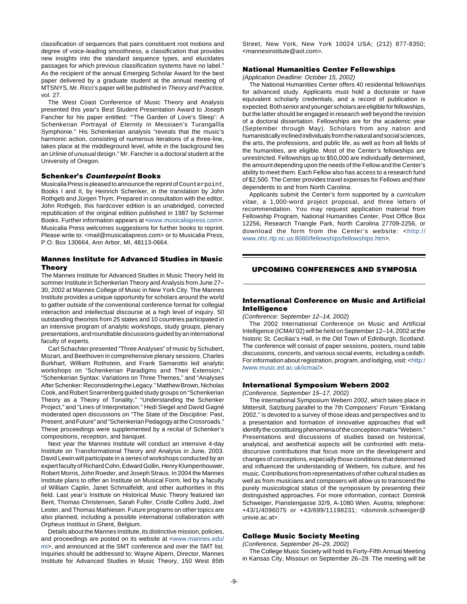classification of sequences that pairs constituent root motions and degree of voice-leading smoothness, a classification that provides new insights into the standard sequence types, and elucidates passages for which previous classification systems have no label." As the recipient of the annual Emerging Scholar Award for the best paper delivered by a graduate student at the annual meeting of MTSNYS, Mr. Ricci's paper will be published in Theory and Practice, vol. 27.

The West Coast Conference of Music Theory and Analysis presented this year's Best Student Presentation Award to Joseph Fancher for his paper entitled: "'The Garden of Love's Sleep': A Schenkerian Portrayal of Eternity in Messiaen's Turangalîla Symphonie." His Schenkerian analysis "reveals that the music's harmonic action, consisting of numerous iterations of a three-line, takes place at the middleground level, while in the background lies an Urlinie of unusual design." Mr. Fancher is a doctoral student at the University of Oregon.

#### **Schenker's Counterpoint Books**

Musicalia Press is pleased to announce the reprint of Counterpoint, Books I and II, by Heinrich Schenker, in the translation by John Rothgeb and Jürgen Thym. Prepared in consultation with the editor, John Rothgeb, this hardcover edition is an unabridged, corrected republication of the original edition published in 1987 by Schirmer Books. Further information appears at [<www.musicaliapress.com>](http://www.musicaliapress.com). Musicalia Press welcomes suggestions for further books to reprint. Please write to: <mail@musicaliapress.com> or to Musicalia Press, P.O. Box 130664, Ann Arbor, MI, 48113-0664.

#### **Mannes Institute for Advanced Studies in Music Theory**

The Mannes Institute for Advanced Studies in Music Theory held its summer Institute in Schenkerian Theory and Analysis from June 27– 30, 2002 at Mannes College of Music in New York City. The Mannes Institute provides a unique opportunity for scholars around the world to gather outside of the conventional conference format for collegial interaction and intellectual discourse at a high level of inquiry. 50 outstanding theorists from 25 states and 10 countries participated in an intensive program of analytic workshops, study groups, plenary presentations, and roundtable discussions guided by an international faculty of experts.

Carl Schachter presented "Three Analyses" of music by Schubert, Mozart, and Beethoven in comprehensive plenary sessions. Charles Burkhart, William Rothstein, and Frank Samarotto led analytic workshops on "Schenkerian Paradigms and Their Extension," "Schenkerian Syntax: Variations on Three Themes," and "Analyses After Schenker: Reconsidering the Legacy." Matthew Brown, Nicholas Cook, and Robert Snarrenberg guided study groups on "Schenkerian" Theory as a Theory of Tonality," "Understanding the Schenker Project," and "Lines of Interpretation." Hedi Siegel and David Gagné moderated open discussions on "The State of the Discipline: Past, Present, and Future" and "Schenkerian Pedagogy at the Crossroads." These proceedings were supplemented by a recital of Schenker's compositions, reception, and banquet.

Next year the Mannes Institute will conduct an intensive 4-day Institute on Transformational Theory and Analysis in June, 2003. David Lewin will participate in a series of workshops conducted by an expert faculty of Richard Cohn, Edward Gollin, Henry Klumpenhouwer, Robert Morris, John Roeder, and Joseph Straus. In 2004 the Mannes Institute plans to offer an Institute on Musical Form, led by a faculty of William Caplin, Janet Schmalfeldt, and other authorities in this field. Last year's Institute on Historical Music Theory featured Ian Bent, Thomas Christensen, Sarah Fuller, Cristle Collins Judd, Joel Lester, and Thomas Mathiesen. Future programs on other topics are also planned, including a possible international collaboration with Orpheus Instituut in Ghent, Belgium.

Details about the Mannes Institute, its distinctive mission, policies, and proceedings are posted on its website at [<www.mannes.edu/](http://www.mannes.edu/mi) [mi>](http://www.mannes.edu/mi), and announced at the SMT conference and over the SMT list. Inquiries should be addressed to: Wayne Alpern, Director, Mannes Institute for Advanced Studies in Music Theory, 150 West 85th

Street, New York, New York 10024 USA; (212) 877-8350; <mannesinstitute@aol.com>.

#### **National Humanities Center Fellowships**

(Application Deadline: October 15, 2002)

The National Humanities Center offers 40 residential fellowships for advanced study. Applicants must hold a doctorate or have equivalent scholarly credentials, and a record of publication is expected. Both senior and younger scholars are eligible for fellowships, but the latter should be engaged in research well beyond the revision of a doctoral dissertation. Fellowships are for the academic year (September through May). Scholars from any nation and humanistically inclined individuals from the natural and social sciences, the arts, the professions, and public life, as well as from all fields of the humanities, are eligible. Most of the Center's fellowships are unrestricted. Fellowships up to \$50,000 are individually determined, the amount depending upon the needs of the Fellow and the Center's ability to meet them. Each Fellow also has access to a research fund of \$2,500. The Center provides travel expenses for Fellows and their dependents to and from North Carolina.

Applicants submit the Center's form supported by a curriculum vitae, a 1,000-word project proposal, and three letters of recommendation. You may request application material from Fellowship Program, National Humanities Center, Post Office Box 12256, Research Triangle Park, North Carolina 27709-2256, or download the form from the Center's website: <[http://](http://www.nhc.rtp.nc.us:8080/fellowships/fellowships.htm) [www.nhc.rtp.nc.us:8080/fellowships/fellowships.htm>](http://www.nhc.rtp.nc.us:8080/fellowships/fellowships.htm).

#### **UPCOMING CONFERENCES AND SYMPOSIA**

#### **International Conference on Music and Artificial Intelligence**

(Conference: September 12–14, 2002)

The 2002 International Conference on Music and Artificial Intelligence (ICMAI'02) will be held on September 12–14, 2002 at the historic St. Cecilias's Hall, in the Old Town of Edinburgh, Scotland. The conference will consist of paper sessions, posters, round table discussions, concerts, and various social events, including a ceilidh. For information about registration, program, and lodging, visit: <[http:/](http://www.music.ed.ac.uk/icmai/) [/www.music.ed.ac.uk/icmai/>](http://www.music.ed.ac.uk/icmai/).

#### **International Symposium Webern 2002**

(Conference, September 15–17, 2002)

The international Symposium Webern 2002, which takes place in Mittersill, Salzburg parallel to the 7th Composers' Forum "Einklang 2002," is devoted to a survey of those ideas and perspectives and to a presentation and formation of innovative approaches that will identify the constituting phenomena of the conception matrix "Webern." Presentations and discussions of studies based on historical, analytical, and aesthetical aspects will be confronted with metadiscursive contributions that focus more on the development and changes of conceptions, especially those conditions that determined and influenced the understanding of Webern, his culture, and his music. Contributions from representatives of other cultural studies as well as from musicians and composers will allow us to transcend the purely musicological status of the symposium by presenting their distinguished approaches. For more information, contact: Dominik Schweiger, Piaristengasse 32/9, A-1080 Wien. Austria; telephone: +43/1/4096075 or +43/699/11198231; <dominik.schweiger@ univie.ac.at>.

#### **College Music Society Meeting**

(Conference, September 26–29, 2002)

The College Music Society will hold its Forty-Fifth Annual Meeting in Kansas City, Missouri on September 26–29. The meeting will be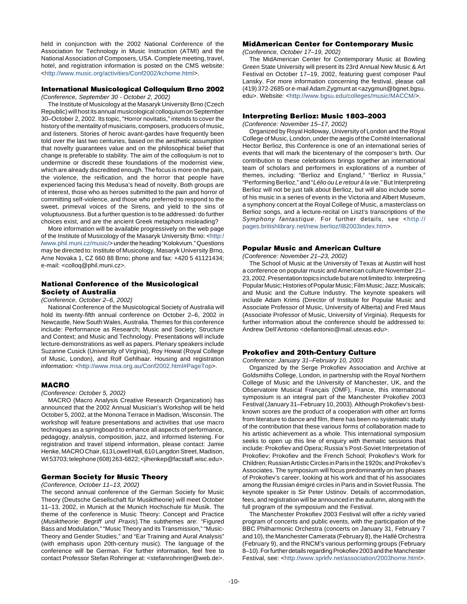held in conjunction with the 2002 National Conference of the Association for Technology in Music Instruction (ATMI) and the National Association of Composers, USA. Complete meeting, travel, hotel, and registration information is posted on the CMS website: <[http://www.music.org/activities/Conf2002/kchome.html>](http://www.music.org/activities/Conf2002/kchome.htm).

## **International Musicological Colloquium Brno 2002**

(Conference, September 30 - October 2, 2002)

The Institute of Musicology at the Masaryk University Brno (Czech Republic) will host its annual musicological colloquium on September 30–October 2, 2002. Its topic, "Horror novitatis," intends to cover the history of the mentality of musicians, composers, producers of music, and listeners. Stories of heroic avant-gardes have frequently been told over the last two centuries, based on the aesthetic assumption that novelty guarantees value and on the philosophical belief that change is preferable to stability. The aim of the colloquium is not to undermine or discredit these foundations of the modernist view, which are already discredited enough. The focus is more on the pain, the violence, the reification, and the horror that people have experienced facing this Medusa's head of novelty. Both groups are of interest, those who as heroes submitted to the pain and horror of committing self-violence, and those who preferred to respond to the sweet, primeval voices of the Sirens, and yield to the sins of voluptuousness. But a further question is to be addressed: do further choices exist, and are the ancient Greek metaphors misleading?

More information will be available progressively on the web page of the Institute of Musicology of the Masaryk University Brno: [<http:/](http://www.phil.muni.cz/music/) [/www.phil.muni.cz/music/>](http://www.phil.muni.cz/music/) under the heading "Kolokvium." Questions may be directed to: Institute of Musicology, Masaryk University Brno, Arne Novaka 1, CZ 660 88 Brno; phone and fax: +420 5 41121434; e-mail: <colloq@phil.muni.cz>.

#### **National Conference of the Musicological Society of Australia**

#### (Conference, October 2–6, 2002)

National Conference of the Musicological Society of Australia will hold its twenty-fifth annual conference on October 2–6, 2002 in Newcastle, New South Wales, Australia. Themes for this conference include: Performance as Research; Music and Society; Structure and Context; and Music and Technology. Presentations will include lecture-demonstrations as well as papers. Plenary speakers include Suzanne Cusick (University of Virginia), Roy Howat (Royal College of Music, London), and Rolf Gehlhaar. Housing and registration information: <[http://www.msa.org.au/Conf2002.html#PageTop>](http://www.msa.org.au/Conf2002.html#PageTop).

#### **MACRO**

(Conference: October 5, 2002)

MACRO (Macro Analysis Creative Research Organization) has announced that the 2002 Annual Musician's Workshop will be held October 5, 2002, at the Monona Terrace in Madison, Wisconsin. The workshop will feature presentations and activities that use macro techniques as a springboard to enhance all aspects of performance, pedagogy, analysis, composition, jazz, and informed listening. For registration and travel stipend information, please contact: Jamie Henke, MACRO Chair, 613 Lowell Hall, 610 Langdon Street, Madison, WI 53703; telephone (608) 263-6822;<jlhenkep@facstaff.wisc.edu>.

#### **German Society for Music Theory**

#### (Conference, October 11–13, 2002)

The second annual conference of the German Society for Music Theory (Deutsche Gesellschaft für Musiktheorie) will meet October 11–13, 2002, in Munich at the Munich Hochschule für Musik. The theme of the conference is Music Theory: Concept and Practice (Musiktheorie: Begriff und Praxis).The subthemes are: "Figured Bass and Modulation," "Music Theory and its Transmission," "Music-Theory and Gender Studies," and "Ear Training and Aural Analysis" (with emphasis upon 20th-century music). The language of the conference will be German. For further information, feel free to contact Professor Stefan Rohringer at: <stefanrohringer@web.de>.

#### **MidAmerican Center for Contemporary Music**

(Conference, October 17–19, 2002)

The MidAmerican Center for Contemporary Music at Bowling Green State University will present its 23rd Annual New Music & Art Festival on October 17–19, 2002, featuring guest composer Paul Lansky. For more information concerning the festival, please call (419) 372-2685 or e-mailAdam Zygmunt at <azygmun@bgnet.bgsu. edu>. Website: <[http://www.bgsu.edu/colleges/music/MACCM/>](http://www.bgsu.edu/colleges/music/MACCM/).

#### **Interpreting Berlioz: Music 1803–2003**

(Conference: November 15–17, 2002)

Organized by Royal Holloway, University of London and the Royal College of Music, London, underthe aegis of the Comité International Hector Berlioz, this Conference is one of an international series of events that will mark the bicentenary of the composer's birth. Our contribution to these celebrations brings together an international team of scholars and performers in explorations of a number of themes, including: "Berlioz and England," "Berlioz in Russia," "Performing Berlioz," and "Lélio ou Le retour à la vie." But Interpreting Berlioz will not be just talk about Berlioz, but will also include some of his music in a series of events in the Victoria and Albert Museum, a symphony concert at the Royal College of Music, a masterclass on Berlioz songs, and a lecture-recital on Liszt's transcriptions of the Symphony fantastique. For further details, see <[http://](http://pages.britishlibrary.net/new.berlioz/IB2003index.htm) [pages.britishlibrary.net/new.berlioz/IB2003index.htm>](http://pages.britishlibrary.net/new.berlioz/IB2003index.htm).

#### **Popular Music and American Culture**

(Conference: November 21–23, 2002)

The School of Music at the University of Texas at Austin will host a conference on popular music and American culture November 21– 23, 2002.Presentation topics include but are not limited to: Interpreting Popular Music; Histories of Popular Music; Film Music; Jazz; Musicals; and Music and the Culture Industry. The keynote speakers will include Adam Krims (Director of Institute for Popular Music and Associate Professor of Music, University of Alberta) and Fred Maus (Associate Professor of Music, University of Virginia). Requests for further information about the conference should be addressed to: Andrew Dell'Antonio <dellantonio@mail.utexas.edu>.

#### **Prokofiev and 20th-Century Culture**

Conference: January 31–February 10, 2003

Organized by the Serge Prokofiev Association and Archive at Goldsmiths College, London, in partnership with the Royal Northern College of Music and the University of Manchester, UK, and the Observatoire Musical Français (OMF), France, this international symposium is an integral part of the Manchester Prokofiev 2003 Festival (January 31–February 10, 2003). Although Prokofiev's bestknown scores are the product of a cooperation with other art forms from literature to dance and film, there has been no systematic study of the contribution that these various forms of collaboration made to his artistic achievement as a whole. This international symposium seeks to open up this line of enquiry with thematic sessions that include: Prokofiev and Opera; Russia's Post-Soviet Interpretation of Prokofiev; Prokofiev and the French School; Prokofiev's Work for Children; Russian Artistic Circles in Paris in the 1920s; and Prokofiev's Associates. The symposium will focus predominantly on two phases of Prokofiev's career, looking at his work and that of his associates among the Russian émigré circles in Paris and in Soviet Russia. The keynote speaker is Sir Peter Ustinov. Details of accommodation, fees, and registration will be announced in the autumn, along with the full program of the symposium and the Festival.

The Manchester Prokofiev 2003 Festival will offer a richly varied program of concerts and public events, with the participation of the BBC Philharmonic Orchestra (concerts on January 31, February 7 and 10), the Manchester Camerata (February 8), the Hallé Orchestra (February 9), and the RNCM's various performing groups (February 8-10). For further details regarding Prokofiev 2003 and the Manchester Festival, see: <[http://www.sprkfv.net/association/2003home.html>](http://www.sprkfv.net/association/2003home.html).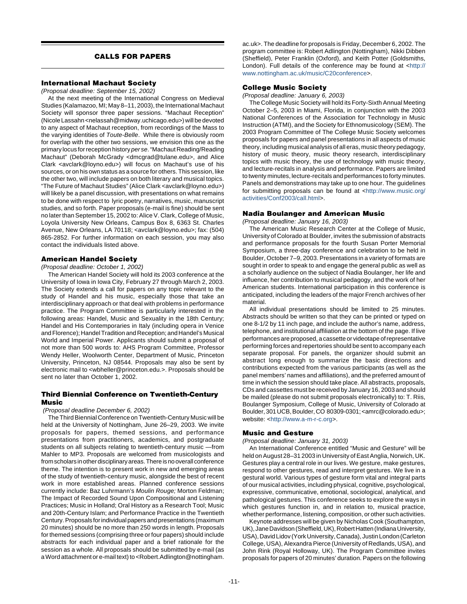#### **CALLS FOR PAPERS**

#### **International Machaut Society**

(Proposal deadline: September 15, 2002)

At the next meeting of the International Congress on Medieval Studies (Kalamazoo, MI; May 8–11, 2003), the International Machaut Society will sponsor three paper sessions. "Machaut Reception" (Nicole Lassahn<nelassah@midway.uchicago.edu>) will be devoted to any aspect of Machaut reception, from recordings of the Mass to the varying identities of Toute-Belle. While there is obviously room for overlap with the other two sessions, we envision this one as the primary locus forreception history per se."Machaut Reading/Reading Machaut" (Deborah McGrady <dmcgrad@tulane.edu>, and Alice Clark <avclark@loyno.edu>) will focus on Machaut's use of his sources, or on his own status as a source for others. This session, like the other two, will include papers on both literary and musical topics. "The Future of Machaut Studies" (Alice Clark <avclark@loyno.edu>) will likely be a panel discussion, with presentations on what remains to be done with respect to lyric poetry, narratives, music, manuscript studies, and so forth. Paper proposals (e-mail is fine) should be sent no later than September 15, 2002 to: Alice V. Clark, College of Music, Loyola University New Orleans, Campus Box 8, 6363 St. Charles Avenue, New Orleans, LA 70118; <avclark@loyno.edu>; fax: (504) 865-2852. For further information on each session, you may also contact the individuals listed above.

#### **American Handel Society**

#### (Proposal deadline: October 1, 2002)

The American Handel Society will hold its 2003 conference at the University of Iowa in Iowa City, February 27 through March 2, 2003. The Society extends a call for papers on any topic relevant to the study of Handel and his music, especially those that take an interdisciplinary approach or that deal with problems in performance practice. The Program Committee is particularly interested in the following areas: Handel, Music and Sexuality in the 18th Century; Handel and His Contemporaries in Italy (including opera in Venice andFlorence); HandelTradition and Reception; and Handel's Musical World and Imperial Power. Applicants should submit a proposal of not more than 500 words to: AHS Program Committee, Professor Wendy Heller, Woolworth Center, Department of Music, Princeton University, Princeton, NJ 08544. Proposals may also be sent by electronic mail to <wbheller@princeton.edu.>. Proposals should be sent no later than October 1, 2002.

#### **Third Biennial Conference on Twentieth-Century Music**

(Proposal deadline December 6, 2002)

The Third Biennial Conference on Twentieth-Century Music will be held at the University of Nottingham, June 26–29, 2003. We invite proposals for papers, themed sessions, and performance presentations from practitioners, academics, and postgraduate students on all subjects relating to twentieth-century music —from Mahler to MP3. Proposals are welcomed from musicologists and from scholars in other disciplinary areas. There is no overall conference theme. The intention is to present work in new and emerging areas of the study of twentieth-century music, alongside the best of recent work in more established areas. Planned conference sessions currently include: Baz Luhrmann's Moulin Rouge; Morton Feldman; The Impact of Recorded Sound Upon Compositional and Listening Practices; Music in Holland; Oral History as a Research Tool; Music and 20th-Century Islam; and Performance Practice in the Twentieth Century. Proposals for individual papers and presentations (maximum 20 minutes) should be no more than 250 words in length. Proposals for themed sessions (comprising three or four papers) should include abstracts for each individual paper and a brief rationale for the session as a whole. All proposals should be submitted by e-mail (as a Word attachment or e-mail text) to <Robert.Adlington@nottingham.

ac.uk>. The deadline for proposals is Friday, December 6, 2002. The program committee is: Robert Adlington (Nottingham), Nikki Dibben (Sheffield), Peter Franklin (Oxford), and Keith Potter (Goldsmiths, London). Full details of the conference may be found at <[http://](http://www.nottingham.ac.uk/music/C20conference) [www.nottingham.ac.uk/music/C20conference>](http://www.nottingham.ac.uk/music/C20conference).

#### **College Music Society**

(Proposal deadline: January 6, 2003)

The College Music Society will hold its Forty-Sixth Annual Meeting October 2–5, 2003 in Miami, Florida, in conjunction with the 2003 National Conferences of the Association for Technology in Music Instruction (ATMI), and the Society for Ethnomusicology (SEM). The 2003 Program Committee of The College Music Society welcomes proposals for papers and panel presentations in all aspects of music theory, including musical analysis of all eras, music theory pedagogy, history of music theory, music theory research, interdisciplinary topics with music theory, the use of technology with music theory, and lecture-recitals in analysis and performance. Papers are limited to twenty minutes, lecture-recitals and performances to forty minutes. Panels and demonstrations may take up to one hour. The guidelines for submitting proposals can be found at <[http://www.music.org/](http://www.music.org/activities/Conf2003/call.html) [activities/Conf2003/call.html>](http://www.music.org/activities/Conf2003/call.html).

#### **Nadia Boulanger and American Music**

(Proposal deadline: January 16, 2003)

The American Music Research Center at the College of Music, University of Colorado at Boulder, invites the submission of abstracts and performance proposals for the fourth Susan Porter Memorial Symposium, a three-day conference and celebration to be held in Boulder, October 7–9, 2003. Presentations in a variety of formats are sought in order to speak to and engage the general public as well as a scholarly audience on the subject of Nadia Boulanger, her life and influence, her contribution to musical pedagogy, and the work of her American students. International participation in this conference is anticipated, including the leaders of the major French archives of her material.

All individual presentations should be limited to 25 minutes. Abstracts should be written so that they can be printed or typed on one 8-1/2 by 11 inch page, and include the author's name, address, telephone, and institutional affiliation at the bottom of the page. If live performances are proposed, a cassette or videotape ofrepresentative performing forces and repertories should be sent to accompany each separate proposal. For panels, the organizer should submit an abstract long enough to summarize the basic directions and contributions expected from the various participants (as well as the panel members' names and affiliations), and the preferred amount of time in which the session should take place. All abstracts, proposals, CDs and cassettes must be received by January 16, 2003 and should be mailed (please do not submit proposals electronically) to: T. Riis, Boulanger Symposium, College of Music, University of Colorado at Boulder, 301 UCB, Boulder, CO 80309-0301; <amrc@colorado.edu>; website: [<http://www.a-m-r-c.org>](http://www.a-m-r-c.org).

#### **Music and Gesture**

(Proposal deadline: January 31, 2003)

An International Conference entitled "Music and Gesture" will be held on August 28–31 2003 in University of East Anglia, Norwich, UK. Gestures play a central role in our lives. We gesture, make gestures, respond to other gestures, read and interpret gestures. We live in a gestural world. Various types of gesture form vital and integral parts of our musical activities, including physical, cognitive, psychological, expressive, communicative, emotional, sociological, analytical, and pathological gestures. This conference seeks to explore the ways in which gestures function in, and in relation to, musical practice, whether performance, listening, composition, or other such activities.

Keynote addresses will be given by Nicholas Cook (Southampton, UK), Jane Davidson (Sheffield, UK), Robert Hatten (Indiana University, USA), David Lidov (York University, Canada), Justin London (Carleton College, USA), Alexandra Pierce (University of Redlands, USA), and John Rink (Royal Holloway, UK). The Program Committee invites proposals for papers of 20 minutes' duration. Papers on the following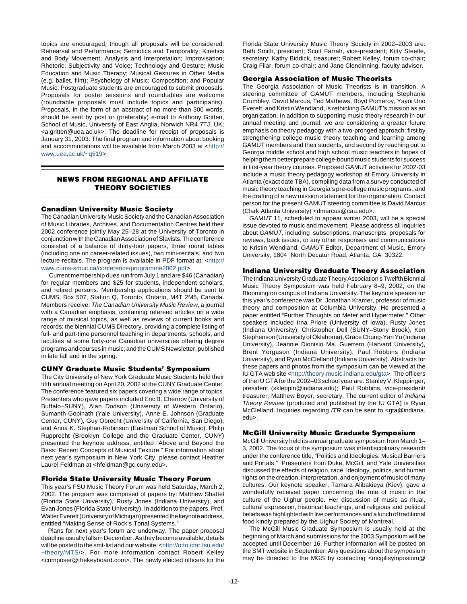topics are encouraged, though all proposals will be considered: Rehearsal and Performance; Semiotics and Temporality; Kinetics and Body Movement; Analysis and Interpretation; Improvisation; Rhetoric; Subjectivity and Voice; Technology and Gesture; Music Education and Music Therapy; Musical Gestures in Other Media (e.g. ballet, film); Psychology of Music; Composition; and Popular Music. Postgraduate students are encouraged to submit proposals. Proposals for poster sessions and roundtables are welcome (roundtable proposals must include topics and participants). Proposals, in the form of an abstract of no more than 300 words, should be sent by post or (preferably) e-mail to Anthony Gritten, School of Music, University of East Anglia, Norwich NR4 7TJ, UK; <a.gritten@uea.ac.uk>. The deadline for receipt of proposals is January 31, 2003. The final program and information about booking and accommodations will be available from March 2003 at <[http://](http://www.uea.ac.uk/~q519) [www.uea.ac.uk/~q519>](http://www.uea.ac.uk/~q519).

#### **NEWS FROM REGIONAL AND AFFILIATE THEORY SOCIETIES**

#### **Canadian University Music Society**

The Canadian University Music Society and the Canadian Association of Music Libraries, Archives, and Documentation Centres held their 2002 conference jointly May 25–28 at the University of Toronto in conjunction with the Canadian Association of Slavists. The conference consisted of a balance of thirty-four papers, three round tables (including one on career-related issues), two mini-recitals, and two lecture-recitals. The program is available in PDF format at: <[http://](http://www.cums-smuc.ca/conference/programme2002.pdf) [www.cums-smuc.ca/conference/programme2002.pdf>](http://www.cums-smuc.ca/conference/programme2002.pdf).

 Current membership dues run from July 1 and are \$46 (Canadian) for regular members and \$25 for students, independent scholars, and retired persons. Membership applications should be sent to CUMS, Box 507, Station Q, Toronto, Ontario, M4T 2M5, Canada. Members receive: The Canadian University Music Review, a journal with a Canadian emphasis, containing refereed articles on a wide range of musical topics, as well as reviews of current books and records; the biennial CUMS Directory, providing a complete listing of full- and part-time personnel teaching in departments, schools, and faculties at some forty-one Canadian universities offering degree programs and courses in music; and the CUMS Newsletter, published in late fall and in the spring.

#### **CUNY Graduate Music Students' Symposium**

The City University of New York Graduate Music Students held their fifth annual meeting on April 20, 2002 at the CUNY Graduate Center. The conference featured six papers covering a wide range of topics. Presenters who gave papers included Eric B. Chernov (University of Buffalo–SUNY), Alan Dodson (University of Western Ontario), Sumanth Gopinath (Yale University), Anne E. Johnson (Graduate Center, CUNY), Guy Obrecht (University of California, San Diego), and Anna K. Stephan-Robinson (Eastman School of Music). Philip Rupprecht (Brooklyn College and the Graduate Center, CUNY) presented the keynote address, entitled "Above and Beyond the Bass: Recent Concepts of Musical Texture." For information about next year's symposium in New York City, please contact Heather Laurel Feldman at <hfeldman@gc.cuny.edu>.

#### **Florida State University Music Theory Forum**

This year's FSU Music Theory Forum was held Saturday, March 2, 2002. The program was comprised of papers by: Matthew Shaftel (Florida State University), Rusty Jones (Indiana University), and Evan Jones (Florida State University). In addition to the papers, Prof. Walter Everett (University of Michigan) presented the keynote address, entitled "Making Sense of Rock's Tonal Systems."

Plans for next year's forum are underway. The paper proposal deadline usually falls in December. As they become available, details will be posted to the smt-list and our website: <[http://otto.cmr.fsu.edu/](http://otto.cmr.fsu.edu/~theory/MTS/) [~theory/MTS/>](http://otto.cmr.fsu.edu/~theory/MTS/). For more information contact Robert Kelley <composer@thekeyboard.com>. The newly elected officers for the

Florida State University Music Theory Society in 2002–2003 are: Beth Smith, president; Scott Farrah, vice-president; Kitty Steetle, secretary; Kathy Biddick, treasurer; Robert Kelley, forum co-chair; Craig Filar, forum co-chair; and Jane Clendinning, faculty advisor.

#### **Georgia Association of Music Theorists**

The Georgia Association of Music Theorists is in transition. A steering committee of GAMUT members, including Stephanie Crumbley, David Marcus, Ted Mathews, Boyd Pomeroy, Yayoi Uno Everett, and Kristin Wendland, is rethinking GAMUT's mission as an organization. In addition to supporting music theory research in our annual meeting and journal, we are considering a greater future emphasis on theory pedagogy with a two-pronged approach: first by strengthening college music theory teaching and learning among GAMUT members and their students, and second by reaching out to Georgia middle school and high school music teachers in hopes of helping them better prepare college-bound music students for success in first-year theory courses. Proposed GAMUT activities for 2002-03 include a music theory pedagogy workshop at Emory University in Atlanta (exact date TBA), compiling data from a survey conducted of music theory teaching in Georgia's pre-college music programs, and the drafting of a new mission statement for the organization. Contact person for the present GAMUT steering committee is David Marcus (Clark Atlanta University) <dmarcus@cau.edu>.

GAMUT 11, scheduled to appear winter 2003, will be a special issue devoted to music and movement. Please address all inquiries about GAMUT, including subscriptions, manuscripts, proposals for reviews, back issues, or any other responses and communications to Kristin Wendland, GAMUT Editor, Department of Music, Emory University, 1804 North Decatur Road, Atlanta, GA 30322.

#### **Indiana University Graduate Theory Association**

The Indiana University Graduate Theory Association's Twelfth Biennial Music Theory Symposium was held February 8–9, 2002, on the Bloomington campus of Indiana University. The keynote speaker for this year's conference was Dr. Jonathan Kramer, professor of music theory and composition at Columbia University. He presented a paper entitled "Further Thoughts on Meter and Hypermeter." Other speakers included Irna Priore (University of Iowa), Rusty Jones (Indiana University), Christopher Doll (SUNY–Stony Brook), Ken Stephenson (University of Oklahoma), Grace Chung-Yan Yu (Indiana University), Jeannie Dionisio Ma. Guerrero (Harvard University), Brent Yorgason (Indiana University), Paul Robbins (Indiana University), and Ryan McClelland (Indiana University). Abstracts for these papers and photos from the symposium can be viewed at the IU GTA web site <[http://theory.music.indiana.edu/gta>](http://theory.music.indiana.edu/gta). The officers of the IU GTA for the 2002–03 school year are: Stanley V. Kleppinger, president (skleppin@indiana.edu); Paul Robbins, vice-president/ treasurer; Matthew Boyer, secretary. The current editor of Indiana Theory Review (produced and published by the IU GTA) is Ryan McClelland. Inquiries regarding ITR can be sent to <gta@indiana. edu>.

#### **McGill University Music Graduate Symposium**

McGill University held its annual graduate symposium from March 1– 3, 2002. The focus of the symposium was interdisciplinary research under the conference title, "Politics and Ideologies: Musical Barriers and Portals." Presenters from Duke, McGill, and Yale Universities discussed the effects of religion, race, ideology, politics, and human rights on the creation, interpretation, and enjoyment of music of many cultures. Our keynote speaker, Tamara Alibakieya (Kiev), gave a wonderfully received paper concerning the role of music in the culture of the Uighur people. Her discussion of music as ritual, cultural expression, historical teachings, and religious and political beliefs was highlighted with live performances and a lunch of traditional food kindly prepared by the Uighur Society of Montreal.

The McGill Music Graduate Symposium is usually held at the beginning of March and submissions for the 2003 Symposium will be accepted until December 16. Further information will be posted on the SMT website in September. Any questions about the symposium may be directed to the MGS by contacting <mcgillsymposium@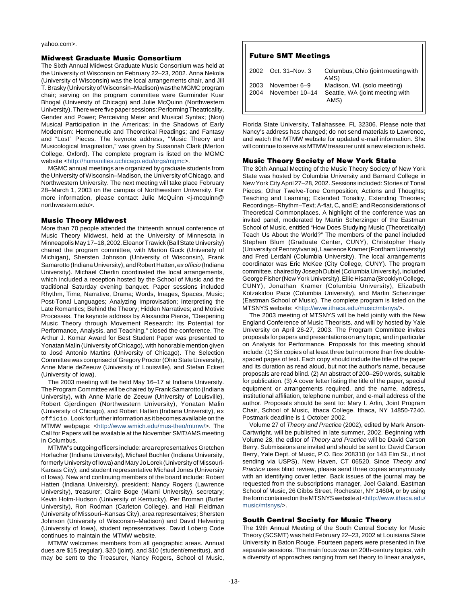yahoo.com>.

#### **Midwest Graduate Music Consortium**

The Sixth Annual Midwest Graduate Music Consortium was held at the University of Wisconsin on February 22–23, 2002. Anna Nekola (University of Wisconsin) was the local arrangements chair, and Jill T. Brasky (University of Wisconsin–Madison) was the MGMC program chair; serving on the program committee were Gurminder Kuar Bhogal (University of Chicago) and Julie McQuinn (Northwestern University). There were five paper sessions: Performing Theatricality, Gender and Power; Perceiving Meter and Musical Syntax; (Non) Musical Participation in the Americas; In the Shadows of Early Modernism: Hermeneutic and Theoretical Readings; and Fantasy and "Lost" Pieces. The keynote address, "Music Theory and Musicological Imagination," was given by Susannah Clark (Merton College, Oxford). The complete program is listed on the MGMC website <[http://humanities.uchicago.edu/orgs/mgmc>](http://humanities.uchicago.edu/orgs/mgm).

MGMC annual meetings are organized by graduate students from the University of Wisconsin–Madison, the University of Chicago, and Northwestern University. The next meeting will take place February 28–March 1, 2003 on the campus of Northwestern University. For more information, please contact Julie McQuinn <j-mcquinn@ northwestern.edu>.

#### **Music Theory Midwest**

More than 70 people attended the thirteenth annual conference of Music Theory Midwest, held at the University of Minnesota in Minneapolis May 17–18, 2002. Eleanor Trawick (Ball State University) chaired the program committee, with Marion Guck (University of Michigan), Shersten Johnson (University of Wisconsin), Frank Samarotto (Indiana University), and Robert Hatten, ex officio (Indiana University). Michael Cherlin coordinated the local arrangements, which included a reception hosted by the School of Music and the traditional Saturday evening banquet. Paper sessions included Rhythm, Time, Narrative, Drama; Words, Images, Spaces, Music; Post-Tonal Languages; Analyzing Improvisation; Interpreting the Late Romantics; Behind the Theory; Hidden Narratives; and Motivic Processes. The keynote address by Alexandra Pierce, "Deepening Music Theory through Movement Research: Its Potential for Performance, Analysis, and Teaching," closed the conference. The Arthur J. Komar Award for Best Student Paper was presented to Yonatan Malin (University of Chicago), with honorable mention given to José Antonio Martins (University of Chicago). The Selection Committee was comprised of Gregory Proctor (Ohio State University), Anne Marie deZeeuw (University of Louisville), and Stefan Eckert (University of Iowa).

The 2003 meeting will be held May 16–17 at Indiana University. The Program Committee will be chaired by Frank Samarotto (Indiana University), with Anne Marie de Zeeuw (University of Louisville), Robert Gjerdingen (Northwestern University), Yonatan Malin (University of Chicago), and Robert Hatten (Indiana University), ex officio. Look for further information as it becomes available on the MTMW webpage: [<http://www.wmich.edu/mus-theo/mtmw/>](http://www.wmich.edu/mus-theo/mtmw/). The Call for Papers will be available at the November SMT/AMS meeting in Columbus.

MTMW's outgoing officers include: area representatives Gretchen Horlacher (Indiana University), Michael Buchler (Indiana University, formerly University of Iowa) and Mary Jo Lorek (University of Missouri-Kansas City); and student representative Michael Jones (University of Iowa). New and continuing members of the board include: Robert Hatten (Indiana University), president; Nancy Rogers (Lawrence University), treasurer; Claire Boge (Miami University), secretary; Kevin Holm-Hudson (University of Kentucky), Per Broman (Butler University), Ron Rodman (Carleton College), and Hali Fieldman (University of Missouri–Kansas City), area representaives; Shersten Johnson (University of Wisconsin–Madison) and David Helvering (University of Iowa), student representatives. David Loberg Code continues to maintain the MTMW website.

MTMW welcomes members from all geographic areas. Annual dues are \$15 (regular), \$20 (joint), and \$10 (student/emeritus), and may be sent to the Treasurer, Nancy Rogers, School of Music,

#### **Future SMT Meetings**

|             | 2002 Oct. 31-Nov. 3                         | Columbus, Ohio (joint meeting with<br>AMS)                             |
|-------------|---------------------------------------------|------------------------------------------------------------------------|
| $\mid$ 2004 | $\vert$ 2003 November 6-9<br>November 10-14 | Madison, WI. (solo meeting)<br>Seattle, WA (joint meeting with<br>AMS) |

Florida State University, Tallahassee, FL 32306. Please note that Nancy's address has changed; do not send materials to Lawrence, and watch the MTMW website for updated e-mail information. She will continue to serve as MTMW treasurer until a new election is held.

#### **Music Theory Society of New York State**

The 30th Annual Meeting of the Music Theory Society of New York State was hosted by Columbia University and Barnard College in New York City April 27–28, 2002. Sessions included: Stories of Tonal Pieces; Other Twelve-Tone Composition; Actions and Thoughts; Teaching and Learning; Extended Tonality, Extending Theories; Recordings–Rhythm–Text; A-flat, C, and E; and Reconsiderations of Theoretical Commonplaces. A highlight of the conference was an invited panel, moderated by Martin Scherzinger of the Eastman School of Music, entitled "How Does Studying Music (Theoretically) Teach Us About the World?" The members of the panel included Stephen Blum (Graduate Center, CUNY), Christopher Hasty (University of Pennsylvania), Lawrence Kramer (Fordham University) and Fred Lerdahl (Columbia University). The local arrangements coordinator was Eric McKee (City College, CUNY). The program committee, chaired by Joseph Dubiel(Columbia University), included George Fisher (New York University), Ellie Hisama (Brooklyn College, CUNY), Jonathan Kramer (Columbia University), Elizabeth Kotzakidou Pace (Columbia University), and Martin Scherzinger (Eastman School of Music). The complete program is listed on the MTSNYS website: [<http://www.ithaca.edu/music/mtsnys/>](http://www.ithaca.edu/music/mtsnys/).

The 2003 meeting of MTSNYS will be held jointly with the New England Conference of Music Theorists, and will by hosted by Yale University on April 26-27, 2003. The Program Committee invites proposals for papers and presentations on any topic, and in particular on Analysis for Performance. Proposals for this meeting should include: (1) Six copies of at least three but not more than five doublespaced pages of text. Each copy should include the title of the paper and its duration as read aloud, but not the author's name, because proposals are read blind. (2) An abstract of 200–250 words, suitable for publication. (3) A cover letter listing the title of the paper, special equipment or arrangements required, and the name, address, institutional affiliation, telephone number, and e-mail address of the author. Proposals should be sent to: Mary I. Arlin, Joint Program Chair, School of Music, Ithaca College, Ithaca, NY 14850-7240. Postmark deadline is 1 October 2002.

Volume 27 of Theory and Practice (2002), edited by Mark Anson-Cartwright, will be published in late summer, 2002. Beginning with Volume 28, the editor of Theory and Practice will be David Carson Berry. Submissions are invited and should be sent to: David Carson Berry, Yale Dept. of Music, P.O. Box 208310 (or 143 Elm St., if not sending via USPS), New Haven, CT 06520. Since Theory and Practice uses blind review, please send three copies anonymously with an identifying cover letter. Back issues of the journal may be requested from the subscriptions manager, Joel Galand, Eastman School of Music, 26 Gibbs Street, Rochester, NY 14604, or by using the form contained on the MTSNYS website at [<http://www.ithaca.edu/](http://www.ithaca.edu/music/mtsnys/) [music/mtsnys/>](http://www.ithaca.edu/music/mtsnys/).

#### **South Central Society for Music Theory**

The 19th Annual Meeting of the South Central Society for Music Theory (SCSMT) was held February 22–23, 2002 at Louisiana State University in Baton Rouge. Fourteen papers were presented in five separate sessions. The main focus was on 20th-century topics, with a diversity of approaches ranging from set theory to linear analysis,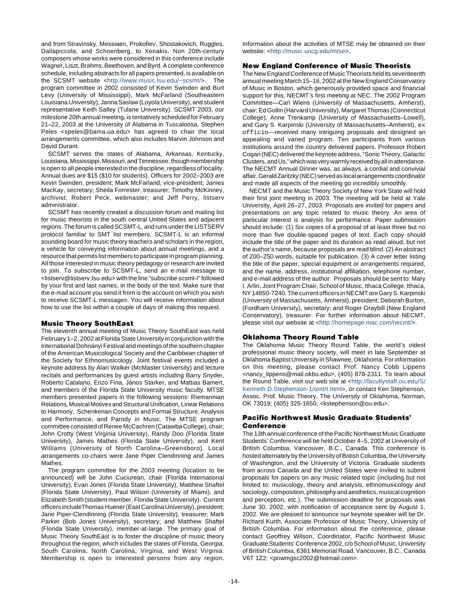and from Stravinsky, Messiaen, Prokofiev, Shostakovich, Ruggles, Dallapiccola, and Schoenberg, to Xenakis. Non 20th-century composers whose works were considered in this conference include Wagner, Liszt, Brahms, Beethoven, and Byrd. A complete conference schedule, including abstracts for all papers presented, is available on the SCSMT website <[http://www.music.lsu.edu/~scsmt/>](http://www.music.lsu.edu/~scsmt/). The program committee in 2002 consisted of Kevin Swinden and Burt Levy (University of Mississippi), Mark McFarland (Southeastern Louisiana University), Janna Saslaw (Loyola University), and student representative Keith Salley (Tulane University). SCSMT 2003, our milestone 20th annual meeting, is tentatively scheduled for February 21–22, 2003 at the University of Alabama in Tuscaloosa. Stephen Peles <speles@bama.ua.edu> has agreed to chair the local arrangements committee, which also includes Marvin Johnson and David Durant.

SCSMT serves the states of Alabama, Arkansas, Kentucky, Louisiana, Mississippi, Missouri, and Tennessee, though membership is open to all people interested in the discipline, regardless of locality. Annual dues are \$15 (\$10 for students). Officers for 2002–2003 are Kevin Swinden, president; Mark McFarland, vice-president; James MacKay, secretary; Sheila Forrester, treasurer; Timothy McKinney, archivist; Robert Peck, webmaster; and Jeff Perry, listserv administrator.

SCSMT has recently created a discussion forum and mailing list for music theorists in the south central United States and adjacent regions. The forum is called SCSMT-L, and runs under the LISTSERV protocol familiar to SMT list members. SCSMT-L is an informal sounding board for music theory teachers and scholars in the region, a vehicle for conveying information about annual meetings, and a resource that permits list members to participate in program planning. All those interested in music theory pedagogy or research are invited to join. To subscribe to SCSMT-L, send an e-mail message to <listserv@listserv.lsu.edu> with the line "subscribe scsmt-l" followed by your first and last names, in the body of the text. Make sure that the e-mail account you send it from is the account on which you wish to receive SCSMT-L messages. You will receive information about how to use the list within a couple of days of making this request.

#### **Music Theory SouthEast**

The eleventh annual meeting of Music Theory SouthEast was held February 1–2, 2002 at Florida State University in conjunction with the International Dohnányi Festival and meetings of the southern chapter of the American Musicological Society and the Caribbean chapter of the Society for Ethnomusicology. Joint festival events included a keynote address by Alan Walker (McMaster University) and lecture recitals and performances by guest artists including Barry Snyder, Roberto Catalano, Enzo Fina, János Starker, and Mattias Bamert, and members of the Florida State University music faculty. MTSE members presented papers in the following sessions: Riemannian Relations, Musical Motives and Structural Unification, Linear Relations to Harmony, Schenkerian Concepts and Formal Structure, Analysis and Performance, and Parody in Music. The MTSE program committee consisted of Renee McCachren (Catawba College), chair; John Crotty (West Virginia University), Randy Doo (Florida State University), James Mathes (Florida State University), and Kent Williams (University of North Carolina–Greensboro). Local arrangements co-chairs were Jane Piper Clendinning and James Mathes.

The program committee for the 2003 meeting (location to be announced) will be John Cuciurean, chair (Florida International University), Evan Jones (Florida State University), Matthew Shaftel (Florida State University), Paul Wilson (University of Miami), and Elizabeth Smith (student member, Florida State University). Current officers includeThomas Huener (East Carolina University), president; Jane Piper-Clendinning (Florida State University), treasurer; Mark Parker (Bob Jones University), secretary; and Matthew Shaftel (Florida State University), member-at-large. The primary goal of Music Theory SouthEast is to foster the discipline of music theory throughout the region, which includes the states of Florida, Georgia, South Carolina, North Carolina, Virginia, and West Virginia. Membership is open to interested persons from any region.

Information about the activities of MTSE may be obtained on their website: <[http://music.uncg.edu/mtse>](http://music.uncg.edu/mtse).

#### **New England Conference of Music Theorists**

The New England Conference of Music Theorists held its seventeenth annual meeting March 15–16, 2002 at the New England Conservatory of Music in Boston, which generously provided space and financial support for this, NECMT's first meeting at NEC. The 2002 Program Committee—Carl Wiens (University of Massachusetts, Amherst), chair; Ed Gollin (Harvard University), Margaret Thomas (Connecticut College), Anne Trenkamp (University of Massachusetts–Lowell), and Gary S. Karpinski (University of Massachusetts–Amherst), ex officio—received many intriguing proposals and designed an appealing and varied program. Ten participants from various institutions around the country delivered papers. Professor Robert Cogan (NEC) delivered the keynote address, "Sonic Theory, Galactic Clusters, and Us," which was very warmly received by all in attendance. The NECMT Annual Dinner was, as always, a cordial and convivial affair. Gerald Zaritzky (NEC) served as local arrangements coordinator and made all aspects of the meeting go incredibly smoothly.

NECMT and the Music Theory Society of New York State will hold their first joint meeting in 2003. The meeting will be held at Yale University, April 26–27, 2003. Proposals are invited for papers and presentations on any topic related to music theory. An area of particular interest is analysis for performance. Paper submission should include: (1) Six copies of a proposal of at least three but no more than five double-spaced pages of text. Each copy should include the title of the paper and its duration as read aloud, but not the author's name, because proposals are read blind. (2) An abstract of 200–250 words, suitable for publication. (3) A cover letter listing the title of the paper, special equipment or arrangements required, and the name, address, institutional affiliation, telephone number, and e-mail address of the author. Proposals should be sent to: Mary I. Arlin, Joint Program Chair, School of Music, Ithaca College, Ithaca, NY 14850-7240. The current officers in NECMT are Gary S. Karpinski (University of Massachusetts, Amherst), president; Deborah Burton, (Fordham University), secretary; and Roger Graybill (New England Conservatory), treasurer. For further information about NECMT, please visit our website at <[http://homepage.mac.com/necmt/>](http://homepage.mac.com/necmt).

#### **Oklahoma Theory Round Table**

The Oklahoma Music Theory Round Table, the world's oldest professional music theory society, will meet in late September at Oklahoma Baptist University in Shawnee, Oklahoma. For information on this meeting, please contact Prof. Nancy Cobb Lippens <nancy\_lippens@mail.okbu.edu>, (405) 878-2311. To learn about the Round Table, visit our web site at <[http://facultystaff.ou.edu/S/](http://facultystaff.ou.edu/S/Kenneth.D.Stephenson-1/omtrt.html) [Kenneth.D.Stephenson-1/omtrt.html>](http://facultystaff.ou.edu/S/Kenneth.D.Stephenson-1/omtrt.html), or contact Ken Stephenson, Assoc. Prof. Music Theory, The University of Oklahoma, Norman, OK 73019; (405) 325-1650; <kstephenson@ou.edu>.

#### **Pacific Northwest Music Graduate Students' Conference**

The 13th annual conference of the Pacific Northwest Music Graduate Students' Conference will be held October 4–5, 2002 at University of British Columbia, Vancouver, B.C., Canada. This conference is hosted alternately by the University of British Columbia, the University of Washington, and the University of Victoria. Graduate students from across Canada and the United States were invited to submit proposals for papers on any music related topic (including but not limited to: musicology, theory and analysis, ethnomusicology and sociology, composition, philosophy and aesthetics, musical cognition and perception, etc.). The submission deadline for proposals was June 30, 2002, with notification of acceptance sent by August 1, 2002. We are pleased to announce our keynote speaker will be Dr. Richard Kurth, Associate Professor of Music Theory, University of British Columbia. For information about the conference, please contact Geoffrey Wilson, Coordinator, Pacific Northwest Music Graduate Students' Conference 2002, c/o School of Music, University of British Columbia, 6361 Memorial Road, Vancouver, B.C., Canada V6T 1Z2; <pnwmgsc2002@hotmail.com>.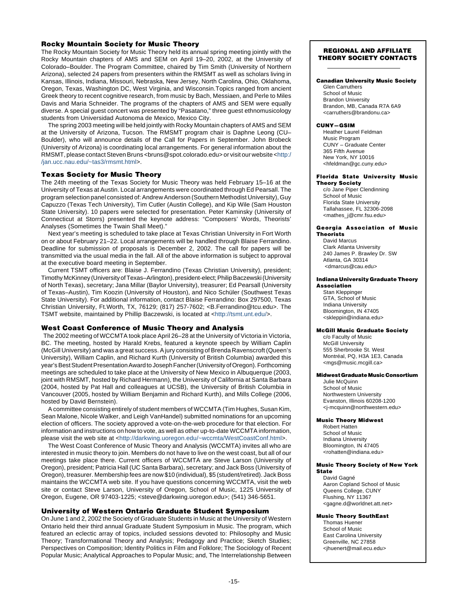#### **Rocky Mountain Society for Music Theory**

The Rocky Mountain Society for Music Theory held its annual spring meeting jointly with the Rocky Mountain chapters of AMS and SEM on April 19–20, 2002, at the University of Colorado–Boulder. The Program Committee, chaired by Tim Smith (University of Northern Arizona), selected 24 papers from presenters within the RMSMT as well as scholars living in Kansas, Illinois, Indiana, Missouri, Nebraska, New Jersey, North Carolina, Ohio, Oklahoma, Oregon, Texas, Washington DC, West Virginia, and Wisconsin.Topics ranged from ancient Greek theory to recent cognitive research, from music by Bach, Messiaen, and Perle to Miles Davis and Maria Schneider. The programs of the chapters of AMS and SEM were equally diverse. A special guest concert was presented by "Pasatano," three guest ethnomusicology students from Universidad Autonoma de Mexico, Mexico City.

The spring 2003 meeting will be held jointly with Rocky Mountain chapters of AMS and SEM at the University of Arizona, Tucson. The RMSMT program chair is Daphne Leong (CU– Boulder), who will announce details of the Call for Papers in September. John Brobeck (University of Arizona) is coordinating local arrangements. For general information about the RMSMT, please contact Steven Bruns <br/> chruns@spot.colorado.edu> or visit our website <[http:/](http://jan.ucc.nau.edu/~tas3/rmsmt.html) [/jan.ucc.nau.edu/~tas3/rmsmt.html](http://jan.ucc.nau.edu/~tas3/rmsmt.html)>.

#### **Texas Society for Music Theory**

The 24th meeting of the Texas Society for Music Theory was held February 15–16 at the University of Texas at Austin. Local arrangements were coordinated through Ed Pearsall. The program selection panel consisted of: Andrew Anderson (Southern Methodist University), Guy Capuzzo (Texas Tech University), Tim Cutler (Austin College), and Kip Wile (Sam Houston State University). 10 papers were selected for presentation. Peter Kaminsky (University of Connecticut at Storrs) presented the keynote address: "Composers' Words, Theorists' Analyses (Sometimes the Twain Shall Meet)."

Next year's meeting is scheduled to take place at Texas Christian University in Fort Worth on or about February 21–22. Local arrangements will be handled through Blaise Ferrandino. Deadline for submission of proposals is December 2, 2002. The call for papers will be transmitted via the usual media in the fall. All of the above information is subject to approval at the executive board meeting in September.

Current TSMT officers are: Blaise J. Ferrandino (Texas Christian University), president; Timothy McKinney (University of Texas–Arlington), president-elect; Philip Baczewski (University of North Texas), secretary; Jana Millar (Baylor University), treasurer; Ed Pearsall (University of Texas–Austin), Tim Koozin (University of Houston), and Nico Schüler (Southwest Texas State University). For additional information, contact Blaise Ferrandino: Box 297500, Texas Christian University, Ft.Worth, TX, 76129; (817) 257-7602; <B.Ferrandino@tcu.edu>. The TSMT website, maintained by Phillip Baczewski, is located at <[http://tsmt.unt.edu/>](http://tsmt.unt.edu/).

#### **West Coast Conference of Music Theory and Analysis**

 The 2002 meeting of WCCMTA took place April 26–28 at the University of Victoria in Victoria, BC. The meeting, hosted by Harald Krebs, featured a keynote speech by William Caplin (McGill University) and was a great success. A jury consisting of Brenda Ravenscroft (Queen's University), William Caplin, and Richard Kurth (University of British Columbia) awarded this year's Best Student Presentation Award to Joseph Fancher (University of Oregon). Forthcoming meetings are scheduled to take place at the University of New Mexico in Albuquerque (2003, joint with RMSMT, hosted by Richard Hermann), the University of California at Santa Barbara (2004, hosted by Pat Hall and colleagues at UCSB), the University of British Columbia in Vancouver (2005, hosted by William Benjamin and Richard Kurth), and Mills College (2006, hosted by David Bernstein).

A committee consisting entirely of student members of WCCMTA (Tim Hughes, Susan Kim, Sean Malone, Nicole Walker, and Leigh VanHandel) submitted nominations for an upcoming election of officers. The society approved a vote-on-the-web procedure for that election. For information and instructions on how to vote, as well as other up-to-date WCCMTA information, please visit the web site at <[http://darkwing.uoregon.edu/~wccmta/WestCoastConf.html>](http://darkwing.uoregon.edu/~wccmta/WestCoastConf.html).

The West Coast Conference of Music Theory and Analysis (WCCMTA) invites all who are interested in music theory to join. Members do not have to live on the west coast, but all of our meetings take place there. Current officers of WCCMTA are Steve Larson (University of Oregon), president; Patricia Hall (UC Santa Barbara), secretary; and Jack Boss (University of Oregon), treasurer. Membership fees are now \$10 (individual), \$5 (student/retired). Jack Boss maintains the WCCMTA web site. If you have questions concerning WCCMTA, visit the web site or contact Steve Larson, University of Oregon, School of Music, 1225 University of Oregon, Eugene, OR 97403-1225; <steve@darkwing.uoregon.edu>; (541) 346-5651.

#### **University of Western Ontario Graduate Student Symposium**

On June 1 and 2, 2002 the Society of Graduate Students in Music at the University of Western Ontario held their third annual Graduate Student Symposium in Music. The program, which featured an eclectic array of topics, included sessions devoted to: Philosophy and Music Theory; Transformational Theory and Analysis; Pedagogy and Practice; Sketch Studies; Perspectives on Composition; Identity Politics in Film and Folklore; The Sociology of Recent Popular Music; Analytical Approaches to Popular Music; and, The Interrelationship Between

#### **REGIONAL AND AFFILIATE THEORY SOCIETY CONTACTS**

#### **Canadian University Music Society**

Glen Carruthers School of Music Brandon University Brandon, MB, Canada R7A 6A9 <carruthers@brandonu.ca>

#### **CUNY—GSIM**

Heather Laurel Feldman Music Program CUNY – Graduate Center 365 Fifth Avenue New York, NY 10016 <hfeldman@gc.cuny.edu>

## **Florida State University Music**

**Theory Society** c/o Jane Piper Clendinning School of Music Florida State University Tallahassee, FL 32306-2098 <mathes\_j@cmr.fsu.edu>

#### **Georgia Association of Music Theorists**

David Marcus Clark Atlanta University 240 James P. Brawley Dr. SW Atlanta, GA 30314 <dmarcus@cau.edu>

#### **Indiana University Graduate Theory Association**

Stan Kleppinger GTA, School of Music Indiana University Bloomington, IN 47405 <skleppin@indiana.edu>

#### **McGill Music Graduate Society**

c/o Faculty of Music McGill University 555 Sherbrooke St. West Montréal, PQ, H3A 1E3, Canada <mgs@music.mcgill.ca>

#### **Midwest Graduate Music Consortium**

Julie McQuinn School of Music Northwestern University Evanston, Illinois 60208-1200 <j-mcquinn@northwestern.edu>

#### **Music Theory Midwest**

Robert Hatten School of Music Indiana University Bloomington, IN 47405 <rohatten@indiana.edu>

#### **Music Theory Society of New York**

**State** David Gagné Aaron Copland School of Music Queens College, CUNY Flushing, NY 11367 <gagne.d@worldnet.att.net>

#### **Music Theory SouthEast**

Thomas Huener School of Music East Carolina University Greenville, NC 27858 <jhuenert@mail.ecu.edu>